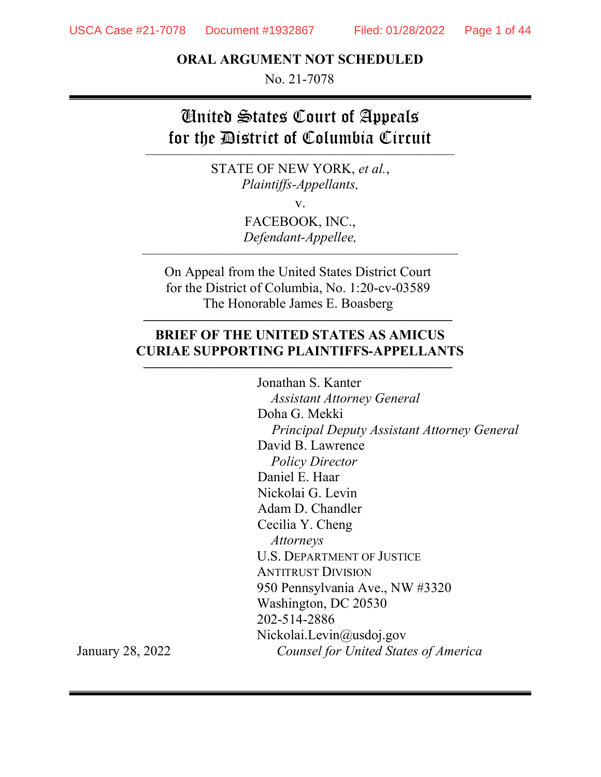### ORAL ARGUMENT NOT SCHEDULED

No. 21-7078

# United States Court of Appeals for the District of Columbia Circuit –––––––––––––––––––––––––––––––––––––––––––––

STATE OF NEW YORK, et al., Plaintiffs-Appellants,

v.

FACEBOOK, INC., Defendant-Appellee,

––––––––––––––––––––––––––––––––––––––––––––––

On Appeal from the United States District Court for the District of Columbia, No. 1:20-cv-03589 The Honorable James E. Boasberg

### BRIEF OF THE UNITED STATES AS AMICUS CURIAE SUPPORTING PLAINTIFFS-APPELLANTS

–––––––––––––––––––––––––––––––––––––––––––––

–––––––––––––––––––––––––––––––––––––––––––––

Jonathan S. Kanter Assistant Attorney General Doha G. Mekki Principal Deputy Assistant Attorney General David B. Lawrence Policy Director Daniel E. Haar Nickolai G. Levin Adam D. Chandler Cecilia Y. Cheng Attorneys U.S. DEPARTMENT OF JUSTICE ANTITRUST DIVISION 950 Pennsylvania Ave., NW #3320 Washington, DC 20530 202-514-2886 Nickolai.Levin@usdoj.gov Counsel for United States of America

January 28, 2022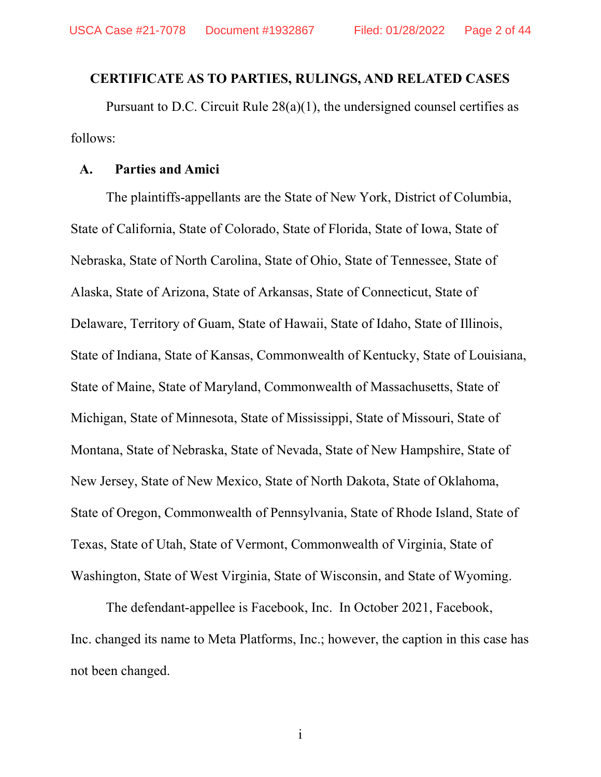#### CERTIFICATE AS TO PARTIES, RULINGS, AND RELATED CASES

Pursuant to D.C. Circuit Rule 28(a)(1), the undersigned counsel certifies as follows:

### A. Parties and Amici

The plaintiffs-appellants are the State of New York, District of Columbia, State of California, State of Colorado, State of Florida, State of Iowa, State of Nebraska, State of North Carolina, State of Ohio, State of Tennessee, State of Alaska, State of Arizona, State of Arkansas, State of Connecticut, State of Delaware, Territory of Guam, State of Hawaii, State of Idaho, State of Illinois, State of Indiana, State of Kansas, Commonwealth of Kentucky, State of Louisiana, State of Maine, State of Maryland, Commonwealth of Massachusetts, State of Michigan, State of Minnesota, State of Mississippi, State of Missouri, State of Montana, State of Nebraska, State of Nevada, State of New Hampshire, State of New Jersey, State of New Mexico, State of North Dakota, State of Oklahoma, State of Oregon, Commonwealth of Pennsylvania, State of Rhode Island, State of Texas, State of Utah, State of Vermont, Commonwealth of Virginia, State of Washington, State of West Virginia, State of Wisconsin, and State of Wyoming.

The defendant-appellee is Facebook, Inc. In October 2021, Facebook, Inc. changed its name to Meta Platforms, Inc.; however, the caption in this case has not been changed.

i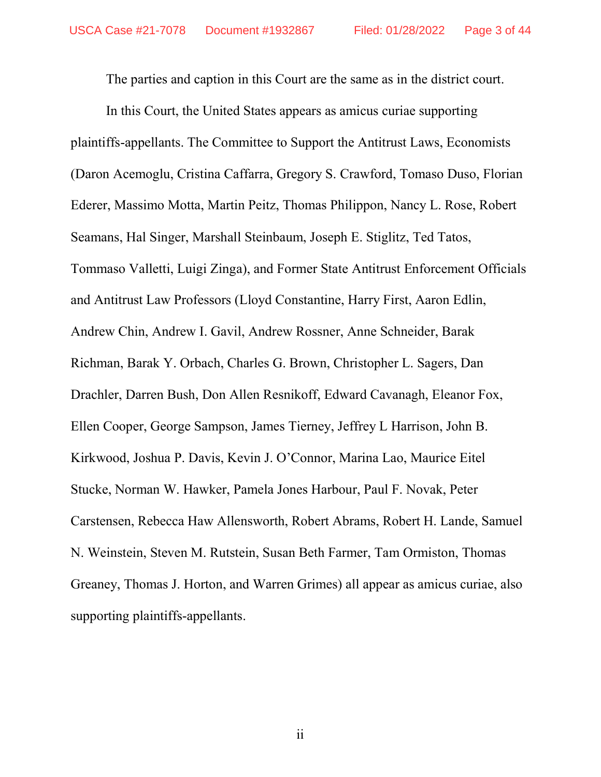The parties and caption in this Court are the same as in the district court.

In this Court, the United States appears as amicus curiae supporting plaintiffs-appellants. The Committee to Support the Antitrust Laws, Economists (Daron Acemoglu, Cristina Caffarra, Gregory S. Crawford, Tomaso Duso, Florian Ederer, Massimo Motta, Martin Peitz, Thomas Philippon, Nancy L. Rose, Robert Seamans, Hal Singer, Marshall Steinbaum, Joseph E. Stiglitz, Ted Tatos, Tommaso Valletti, Luigi Zinga), and Former State Antitrust Enforcement Officials and Antitrust Law Professors (Lloyd Constantine, Harry First, Aaron Edlin, Andrew Chin, Andrew I. Gavil, Andrew Rossner, Anne Schneider, Barak Richman, Barak Y. Orbach, Charles G. Brown, Christopher L. Sagers, Dan Drachler, Darren Bush, Don Allen Resnikoff, Edward Cavanagh, Eleanor Fox, Ellen Cooper, George Sampson, James Tierney, Jeffrey L Harrison, John B. Kirkwood, Joshua P. Davis, Kevin J. O'Connor, Marina Lao, Maurice Eitel Stucke, Norman W. Hawker, Pamela Jones Harbour, Paul F. Novak, Peter Carstensen, Rebecca Haw Allensworth, Robert Abrams, Robert H. Lande, Samuel N. Weinstein, Steven M. Rutstein, Susan Beth Farmer, Tam Ormiston, Thomas Greaney, Thomas J. Horton, and Warren Grimes) all appear as amicus curiae, also supporting plaintiffs-appellants.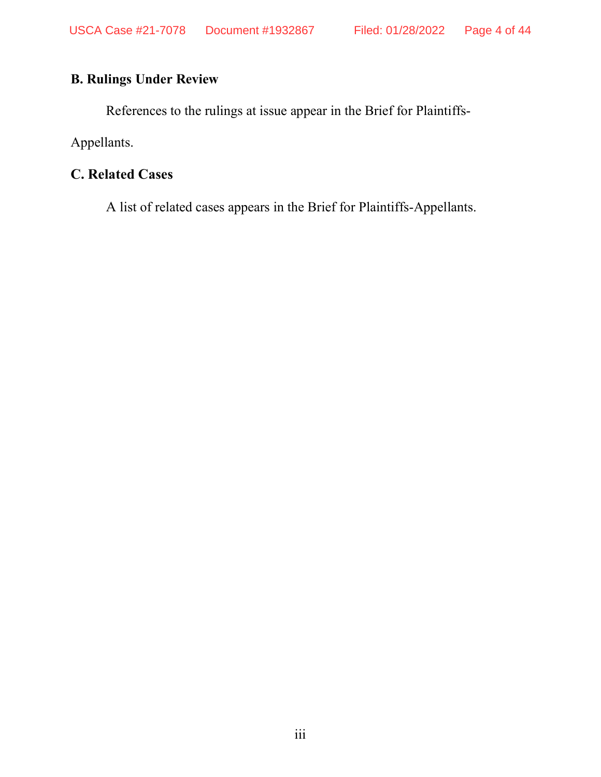# B. Rulings Under Review

References to the rulings at issue appear in the Brief for Plaintiffs-

Appellants.

# C. Related Cases

A list of related cases appears in the Brief for Plaintiffs-Appellants.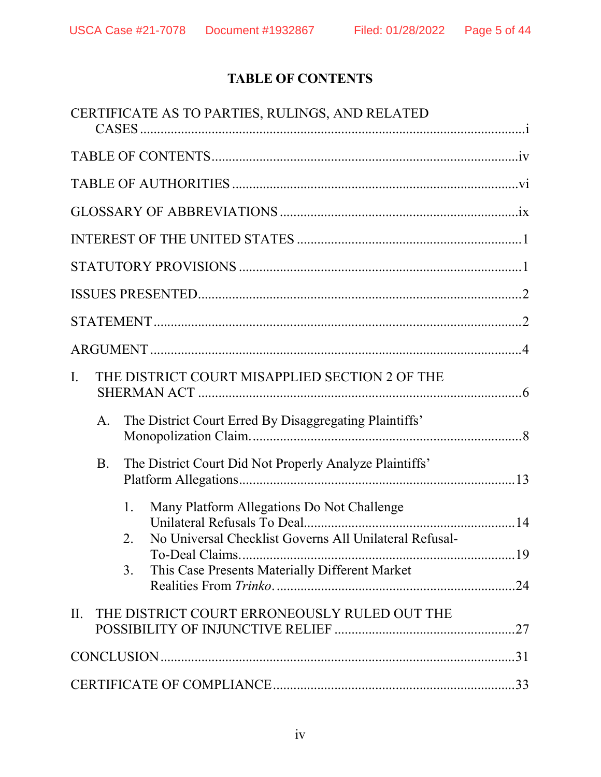# TABLE OF CONTENTS

|                                                      |                                                              |    | CERTIFICATE AS TO PARTIES, RULINGS, AND RELATED         |  |
|------------------------------------------------------|--------------------------------------------------------------|----|---------------------------------------------------------|--|
|                                                      |                                                              |    |                                                         |  |
|                                                      |                                                              |    |                                                         |  |
|                                                      |                                                              |    |                                                         |  |
|                                                      |                                                              |    |                                                         |  |
|                                                      |                                                              |    |                                                         |  |
|                                                      |                                                              |    |                                                         |  |
|                                                      |                                                              |    |                                                         |  |
|                                                      |                                                              |    |                                                         |  |
| THE DISTRICT COURT MISAPPLIED SECTION 2 OF THE<br>I. |                                                              |    |                                                         |  |
|                                                      | The District Court Erred By Disaggregating Plaintiffs'<br>А. |    |                                                         |  |
|                                                      | <b>B.</b>                                                    |    | The District Court Did Not Properly Analyze Plaintiffs' |  |
|                                                      |                                                              | 1. | Many Platform Allegations Do Not Challenge              |  |
|                                                      |                                                              | 2. | No Universal Checklist Governs All Unilateral Refusal-  |  |
|                                                      |                                                              | 3. | This Case Presents Materially Different Market          |  |
| II.                                                  |                                                              |    | THE DISTRICT COURT ERRONEOUSLY RULED OUT THE            |  |
|                                                      |                                                              |    |                                                         |  |
|                                                      |                                                              |    |                                                         |  |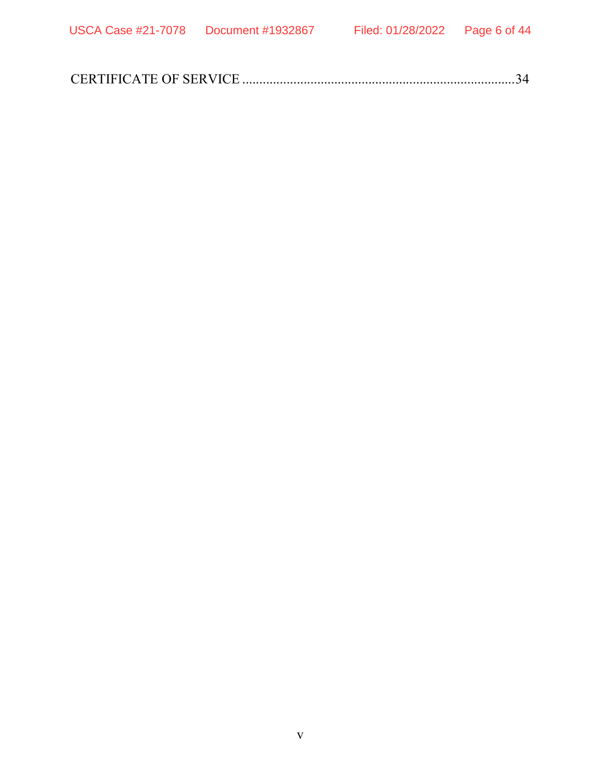|--|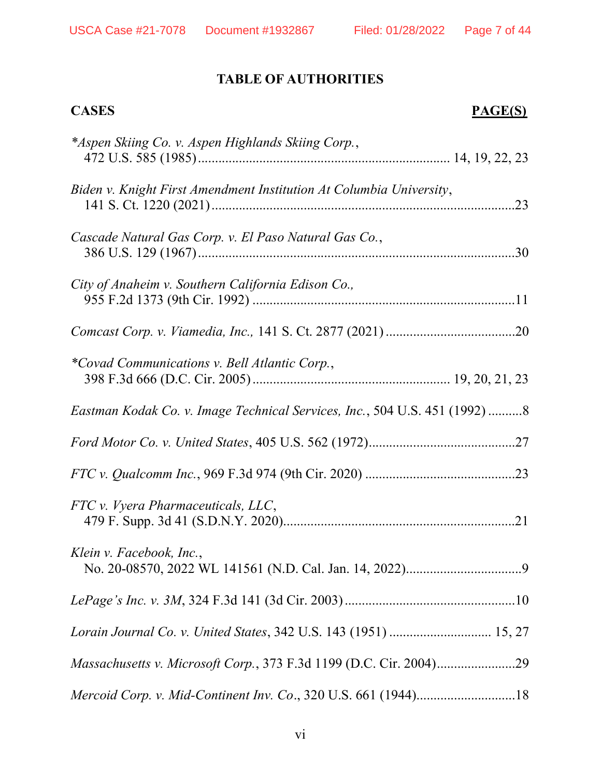# TABLE OF AUTHORITIES

| <b>CASES</b><br><b>PAGE(S)</b>                                             |
|----------------------------------------------------------------------------|
| *Aspen Skiing Co. v. Aspen Highlands Skiing Corp.,                         |
| Biden v. Knight First Amendment Institution At Columbia University,        |
| Cascade Natural Gas Corp. v. El Paso Natural Gas Co.,                      |
| City of Anaheim v. Southern California Edison Co.,                         |
|                                                                            |
| *Covad Communications v. Bell Atlantic Corp.,                              |
| Eastman Kodak Co. v. Image Technical Services, Inc., 504 U.S. 451 (1992) 8 |
|                                                                            |
|                                                                            |
| FTC v. Vyera Pharmaceuticals, LLC,                                         |
| Klein v. Facebook, Inc.,                                                   |
|                                                                            |
|                                                                            |
|                                                                            |
| Mercoid Corp. v. Mid-Continent Inv. Co., 320 U.S. 661 (1944)18             |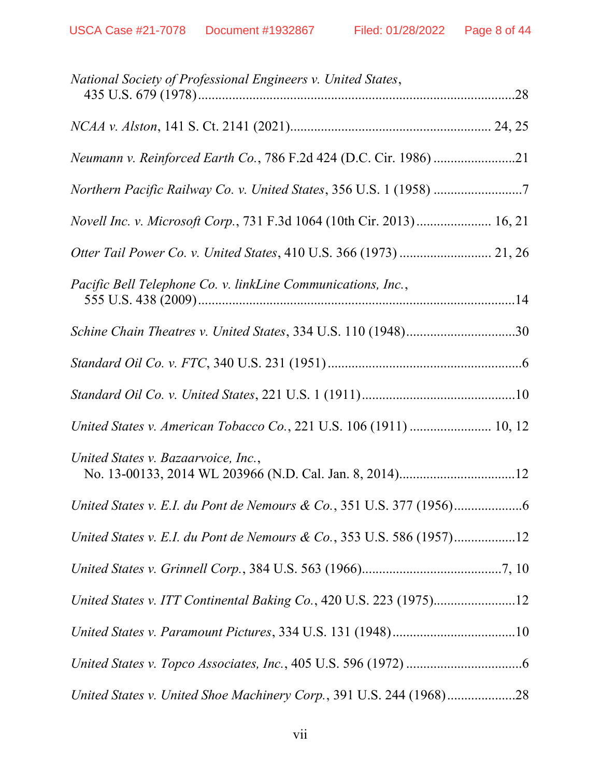| National Society of Professional Engineers v. United States,          |
|-----------------------------------------------------------------------|
|                                                                       |
|                                                                       |
| Northern Pacific Railway Co. v. United States, 356 U.S. 1 (1958)      |
| Novell Inc. v. Microsoft Corp., 731 F.3d 1064 (10th Cir. 2013) 16, 21 |
|                                                                       |
| Pacific Bell Telephone Co. v. linkLine Communications, Inc.,          |
| Schine Chain Theatres v. United States, 334 U.S. 110 (1948)30         |
|                                                                       |
|                                                                       |
| United States v. American Tobacco Co., 221 U.S. 106 (1911)  10, 12    |
| United States v. Bazaarvoice, Inc.,                                   |
|                                                                       |
| United States v. E.I. du Pont de Nemours & Co., 353 U.S. 586 (1957)12 |
|                                                                       |
| United States v. ITT Continental Baking Co., 420 U.S. 223 (1975)12    |
|                                                                       |
|                                                                       |
| United States v. United Shoe Machinery Corp., 391 U.S. 244 (1968)28   |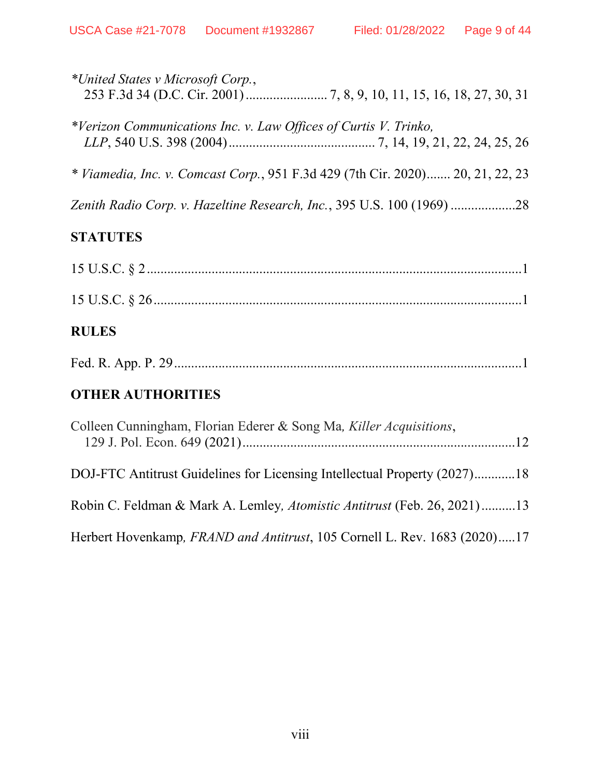| *United States v Microsoft Corp.,                                              |
|--------------------------------------------------------------------------------|
| *Verizon Communications Inc. v. Law Offices of Curtis V. Trinko,               |
| * Viamedia, Inc. v. Comcast Corp., 951 F.3d 429 (7th Cir. 2020) 20, 21, 22, 23 |
|                                                                                |

# **STATUTES**

| <b>RULES</b> |
|--------------|
|              |

# OTHER AUTHORITIES

| Colleen Cunningham, Florian Ederer & Song Ma, Killer Acquisitions,        |  |
|---------------------------------------------------------------------------|--|
| DOJ-FTC Antitrust Guidelines for Licensing Intellectual Property (2027)18 |  |
| Robin C. Feldman & Mark A. Lemley, Atomistic Antitrust (Feb. 26, 2021)13  |  |
| Herbert Hovenkamp, FRAND and Antitrust, 105 Cornell L. Rev. 1683 (2020)17 |  |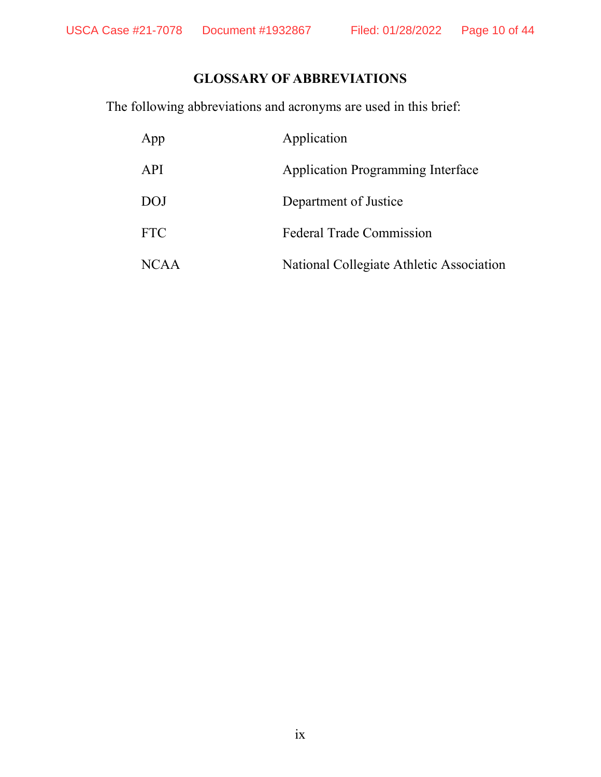# GLOSSARY OF ABBREVIATIONS

The following abbreviations and acronyms are used in this brief:

| App         | Application                              |
|-------------|------------------------------------------|
| API         | <b>Application Programming Interface</b> |
| <b>DOJ</b>  | Department of Justice                    |
| <b>FTC</b>  | <b>Federal Trade Commission</b>          |
| <b>NCAA</b> | National Collegiate Athletic Association |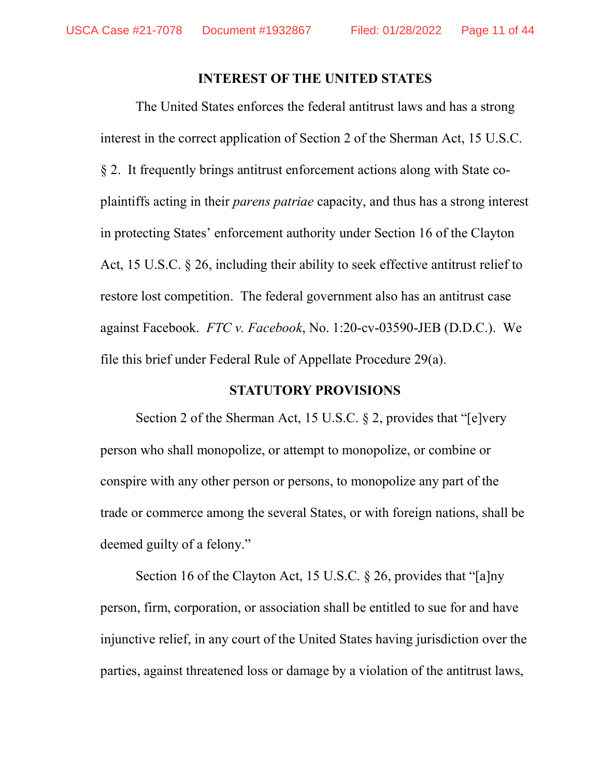#### INTEREST OF THE UNITED STATES

The United States enforces the federal antitrust laws and has a strong interest in the correct application of Section 2 of the Sherman Act, 15 U.S.C. § 2. It frequently brings antitrust enforcement actions along with State coplaintiffs acting in their parens patriae capacity, and thus has a strong interest in protecting States' enforcement authority under Section 16 of the Clayton Act, 15 U.S.C. § 26, including their ability to seek effective antitrust relief to restore lost competition. The federal government also has an antitrust case against Facebook. FTC v. Facebook, No. 1:20-cv-03590-JEB (D.D.C.). We file this brief under Federal Rule of Appellate Procedure 29(a).

#### STATUTORY PROVISIONS

 Section 2 of the Sherman Act, 15 U.S.C. § 2, provides that "[e]very person who shall monopolize, or attempt to monopolize, or combine or conspire with any other person or persons, to monopolize any part of the trade or commerce among the several States, or with foreign nations, shall be deemed guilty of a felony."

Section 16 of the Clayton Act, 15 U.S.C. § 26, provides that "[a]ny person, firm, corporation, or association shall be entitled to sue for and have injunctive relief, in any court of the United States having jurisdiction over the parties, against threatened loss or damage by a violation of the antitrust laws,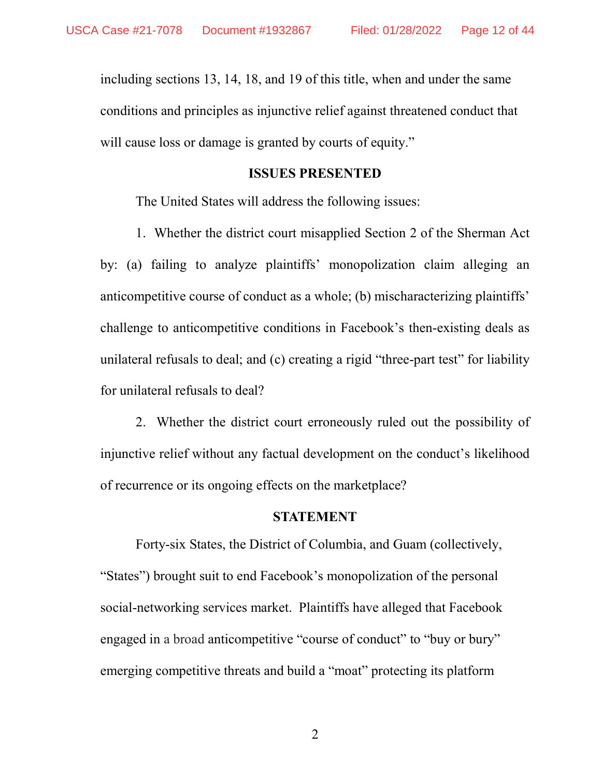including sections 13, 14, 18, and 19 of this title, when and under the same conditions and principles as injunctive relief against threatened conduct that will cause loss or damage is granted by courts of equity."

#### ISSUES PRESENTED

The United States will address the following issues:

1. Whether the district court misapplied Section 2 of the Sherman Act by: (a) failing to analyze plaintiffs' monopolization claim alleging an anticompetitive course of conduct as a whole; (b) mischaracterizing plaintiffs' challenge to anticompetitive conditions in Facebook's then-existing deals as unilateral refusals to deal; and (c) creating a rigid "three-part test" for liability for unilateral refusals to deal?

2. Whether the district court erroneously ruled out the possibility of injunctive relief without any factual development on the conduct's likelihood of recurrence or its ongoing effects on the marketplace?

#### **STATEMENT**

Forty-six States, the District of Columbia, and Guam (collectively, "States") brought suit to end Facebook's monopolization of the personal social-networking services market. Plaintiffs have alleged that Facebook engaged in a broad anticompetitive "course of conduct" to "buy or bury" emerging competitive threats and build a "moat" protecting its platform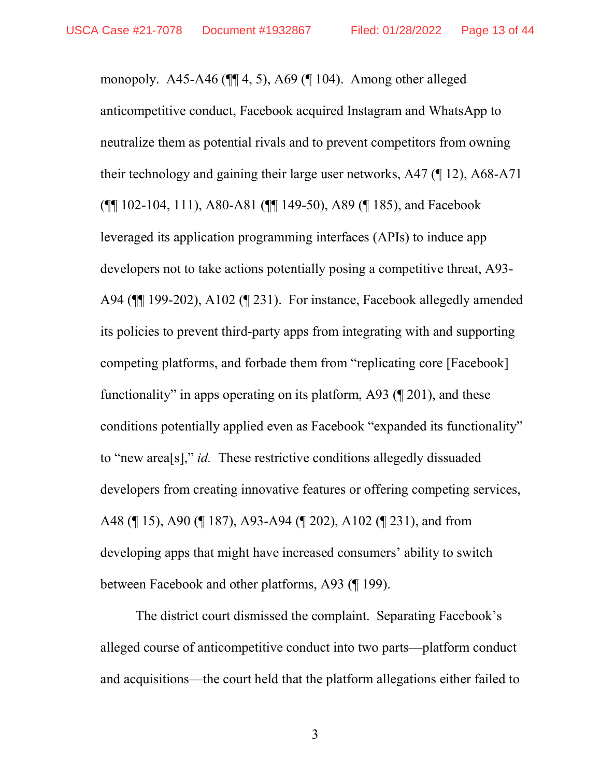monopoly. A45-A46 (¶¶ 4, 5), A69 (¶ 104). Among other alleged anticompetitive conduct, Facebook acquired Instagram and WhatsApp to neutralize them as potential rivals and to prevent competitors from owning their technology and gaining their large user networks, A47 (¶ 12), A68-A71 (¶¶ 102-104, 111), A80-A81 (¶¶ 149-50), A89 (¶ 185), and Facebook leveraged its application programming interfaces (APIs) to induce app developers not to take actions potentially posing a competitive threat, A93- A94 (¶¶ 199-202), A102 (¶ 231). For instance, Facebook allegedly amended its policies to prevent third-party apps from integrating with and supporting competing platforms, and forbade them from "replicating core [Facebook] functionality" in apps operating on its platform, A93 (¶ 201), and these conditions potentially applied even as Facebook "expanded its functionality" to "new area[s]," id. These restrictive conditions allegedly dissuaded developers from creating innovative features or offering competing services, A48 (¶ 15), A90 (¶ 187), A93-A94 (¶ 202), A102 (¶ 231), and from developing apps that might have increased consumers' ability to switch between Facebook and other platforms, A93 (¶ 199).

The district court dismissed the complaint. Separating Facebook's alleged course of anticompetitive conduct into two parts—platform conduct and acquisitions—the court held that the platform allegations either failed to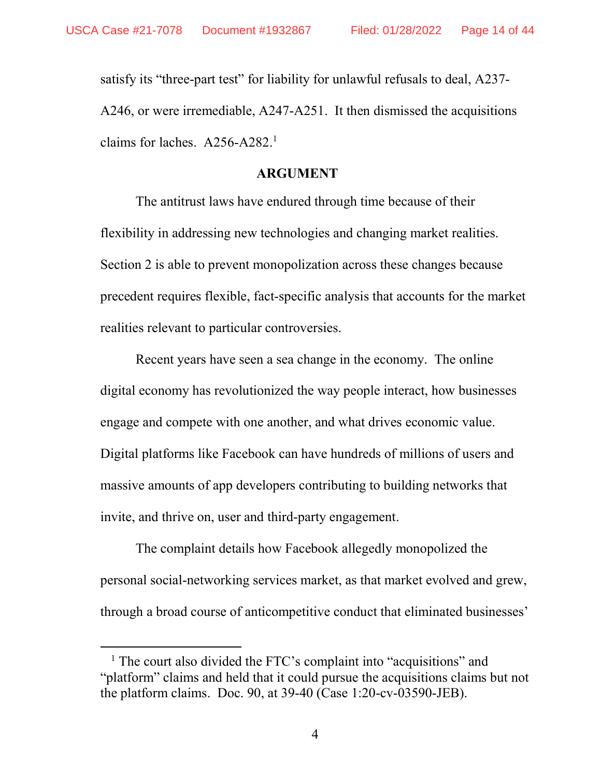-

satisfy its "three-part test" for liability for unlawful refusals to deal, A237- A246, or were irremediable, A247-A251. It then dismissed the acquisitions claims for laches.  $A256-A282<sup>1</sup>$ 

#### ARGUMENT

The antitrust laws have endured through time because of their flexibility in addressing new technologies and changing market realities. Section 2 is able to prevent monopolization across these changes because precedent requires flexible, fact-specific analysis that accounts for the market realities relevant to particular controversies.

Recent years have seen a sea change in the economy. The online digital economy has revolutionized the way people interact, how businesses engage and compete with one another, and what drives economic value. Digital platforms like Facebook can have hundreds of millions of users and massive amounts of app developers contributing to building networks that invite, and thrive on, user and third-party engagement.

The complaint details how Facebook allegedly monopolized the personal social-networking services market, as that market evolved and grew, through a broad course of anticompetitive conduct that eliminated businesses'

<sup>&</sup>lt;sup>1</sup> The court also divided the FTC's complaint into "acquisitions" and "platform" claims and held that it could pursue the acquisitions claims but not the platform claims. Doc. 90, at 39-40 (Case 1:20-cv-03590-JEB).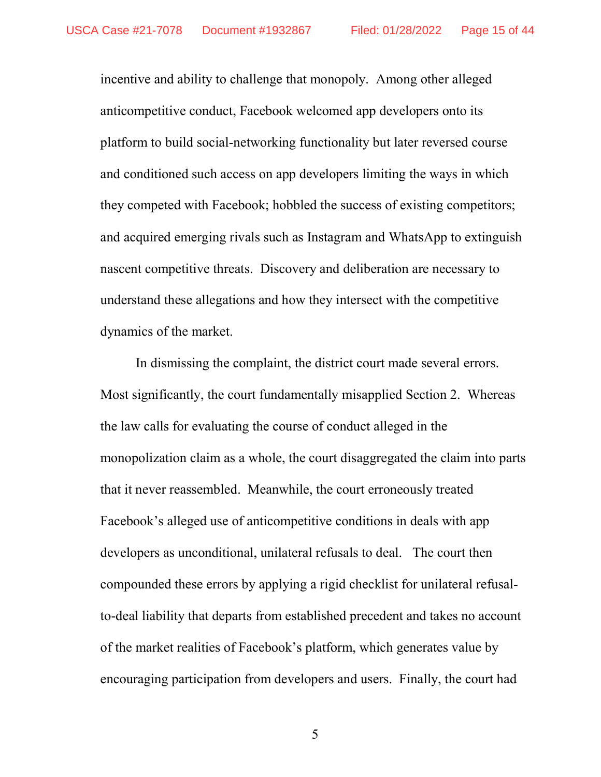incentive and ability to challenge that monopoly. Among other alleged anticompetitive conduct, Facebook welcomed app developers onto its platform to build social-networking functionality but later reversed course and conditioned such access on app developers limiting the ways in which they competed with Facebook; hobbled the success of existing competitors; and acquired emerging rivals such as Instagram and WhatsApp to extinguish nascent competitive threats. Discovery and deliberation are necessary to understand these allegations and how they intersect with the competitive dynamics of the market.

In dismissing the complaint, the district court made several errors. Most significantly, the court fundamentally misapplied Section 2. Whereas the law calls for evaluating the course of conduct alleged in the monopolization claim as a whole, the court disaggregated the claim into parts that it never reassembled. Meanwhile, the court erroneously treated Facebook's alleged use of anticompetitive conditions in deals with app developers as unconditional, unilateral refusals to deal. The court then compounded these errors by applying a rigid checklist for unilateral refusalto-deal liability that departs from established precedent and takes no account of the market realities of Facebook's platform, which generates value by encouraging participation from developers and users. Finally, the court had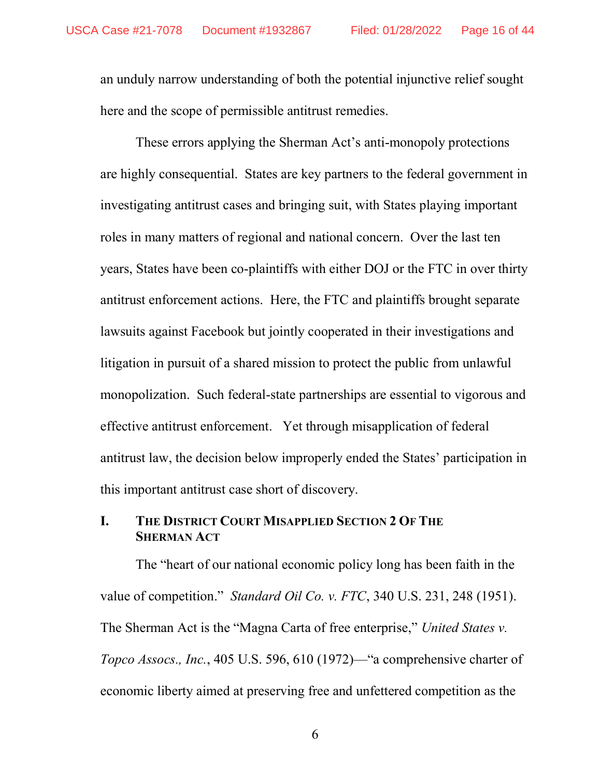an unduly narrow understanding of both the potential injunctive relief sought here and the scope of permissible antitrust remedies.

These errors applying the Sherman Act's anti-monopoly protections are highly consequential. States are key partners to the federal government in investigating antitrust cases and bringing suit, with States playing important roles in many matters of regional and national concern. Over the last ten years, States have been co-plaintiffs with either DOJ or the FTC in over thirty antitrust enforcement actions. Here, the FTC and plaintiffs brought separate lawsuits against Facebook but jointly cooperated in their investigations and litigation in pursuit of a shared mission to protect the public from unlawful monopolization. Such federal-state partnerships are essential to vigorous and effective antitrust enforcement. Yet through misapplication of federal antitrust law, the decision below improperly ended the States' participation in this important antitrust case short of discovery.

# I. THE DISTRICT COURT MISAPPLIED SECTION 2 OF THE **SHERMAN ACT**

The "heart of our national economic policy long has been faith in the value of competition." Standard Oil Co. v. FTC, 340 U.S. 231, 248 (1951). The Sherman Act is the "Magna Carta of free enterprise," United States v. Topco Assocs., Inc., 405 U.S. 596, 610 (1972)—"a comprehensive charter of economic liberty aimed at preserving free and unfettered competition as the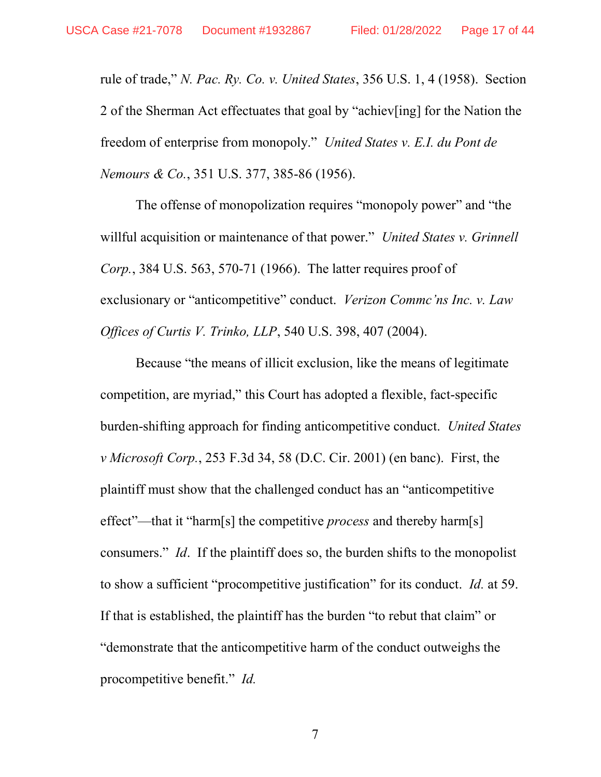rule of trade," N. Pac. Ry. Co. v. United States, 356 U.S. 1, 4 (1958). Section 2 of the Sherman Act effectuates that goal by "achiev[ing] for the Nation the freedom of enterprise from monopoly." United States v. E.I. du Pont de Nemours & Co., 351 U.S. 377, 385-86 (1956).

The offense of monopolization requires "monopoly power" and "the willful acquisition or maintenance of that power." United States v. Grinnell Corp., 384 U.S. 563, 570-71 (1966). The latter requires proof of exclusionary or "anticompetitive" conduct. Verizon Commc'ns Inc. v. Law Offices of Curtis V. Trinko, LLP, 540 U.S. 398, 407 (2004).

Because "the means of illicit exclusion, like the means of legitimate competition, are myriad," this Court has adopted a flexible, fact-specific burden-shifting approach for finding anticompetitive conduct. United States v Microsoft Corp., 253 F.3d 34, 58 (D.C. Cir. 2001) (en banc). First, the plaintiff must show that the challenged conduct has an "anticompetitive effect"—that it "harm[s] the competitive *process* and thereby harm[s] consumers." Id. If the plaintiff does so, the burden shifts to the monopolist to show a sufficient "procompetitive justification" for its conduct. Id. at 59. If that is established, the plaintiff has the burden "to rebut that claim" or "demonstrate that the anticompetitive harm of the conduct outweighs the procompetitive benefit." Id.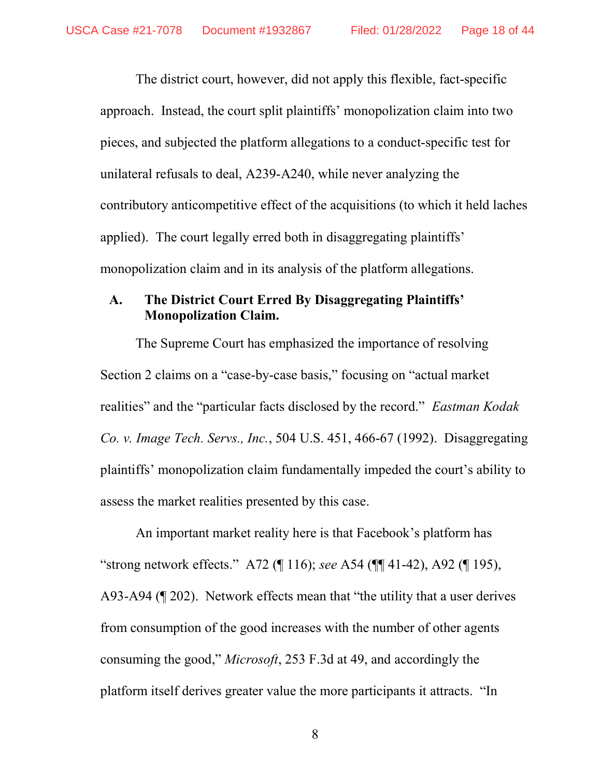The district court, however, did not apply this flexible, fact-specific approach. Instead, the court split plaintiffs' monopolization claim into two pieces, and subjected the platform allegations to a conduct-specific test for unilateral refusals to deal, A239-A240, while never analyzing the contributory anticompetitive effect of the acquisitions (to which it held laches applied). The court legally erred both in disaggregating plaintiffs' monopolization claim and in its analysis of the platform allegations.

### A. The District Court Erred By Disaggregating Plaintiffs' Monopolization Claim.

The Supreme Court has emphasized the importance of resolving Section 2 claims on a "case-by-case basis," focusing on "actual market realities" and the "particular facts disclosed by the record." Eastman Kodak Co. v. Image Tech. Servs., Inc., 504 U.S. 451, 466-67 (1992). Disaggregating plaintiffs' monopolization claim fundamentally impeded the court's ability to assess the market realities presented by this case.

An important market reality here is that Facebook's platform has "strong network effects." A72 (¶ 116); see A54 (¶¶ 41-42), A92 (¶ 195), A93-A94 (¶ 202). Network effects mean that "the utility that a user derives from consumption of the good increases with the number of other agents consuming the good," Microsoft, 253 F.3d at 49, and accordingly the platform itself derives greater value the more participants it attracts. "In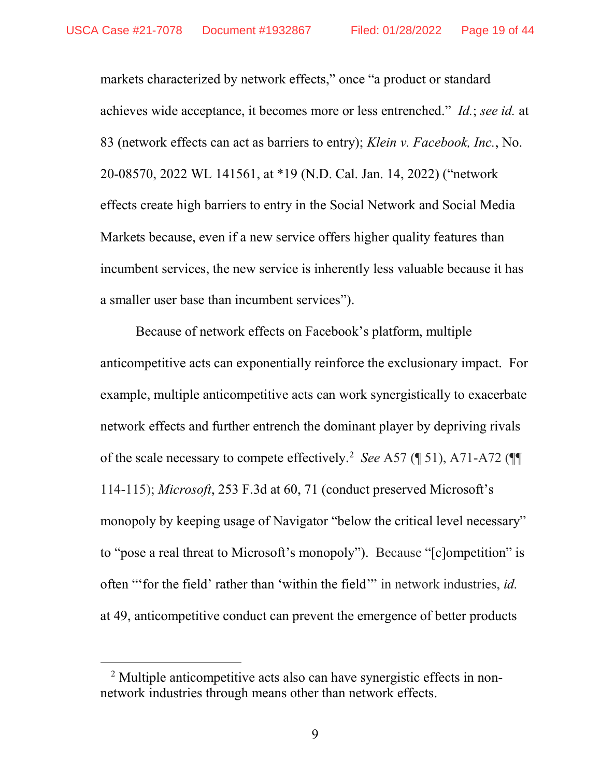markets characterized by network effects," once "a product or standard achieves wide acceptance, it becomes more or less entrenched." Id.; see id. at 83 (network effects can act as barriers to entry); Klein v. Facebook, Inc., No. 20-08570, 2022 WL 141561, at \*19 (N.D. Cal. Jan. 14, 2022) ("network effects create high barriers to entry in the Social Network and Social Media Markets because, even if a new service offers higher quality features than incumbent services, the new service is inherently less valuable because it has a smaller user base than incumbent services").

Because of network effects on Facebook's platform, multiple anticompetitive acts can exponentially reinforce the exclusionary impact. For example, multiple anticompetitive acts can work synergistically to exacerbate network effects and further entrench the dominant player by depriving rivals of the scale necessary to compete effectively.<sup>2</sup> See A57 ( $\parallel$  51), A71-A72 ( $\parallel$  $\parallel$ 114-115); Microsoft, 253 F.3d at 60, 71 (conduct preserved Microsoft's monopoly by keeping usage of Navigator "below the critical level necessary" to "pose a real threat to Microsoft's monopoly"). Because "[c]ompetition" is often "'for the field' rather than 'within the field'" in network industries, id. at 49, anticompetitive conduct can prevent the emergence of better products

-

<sup>&</sup>lt;sup>2</sup> Multiple anticompetitive acts also can have synergistic effects in nonnetwork industries through means other than network effects.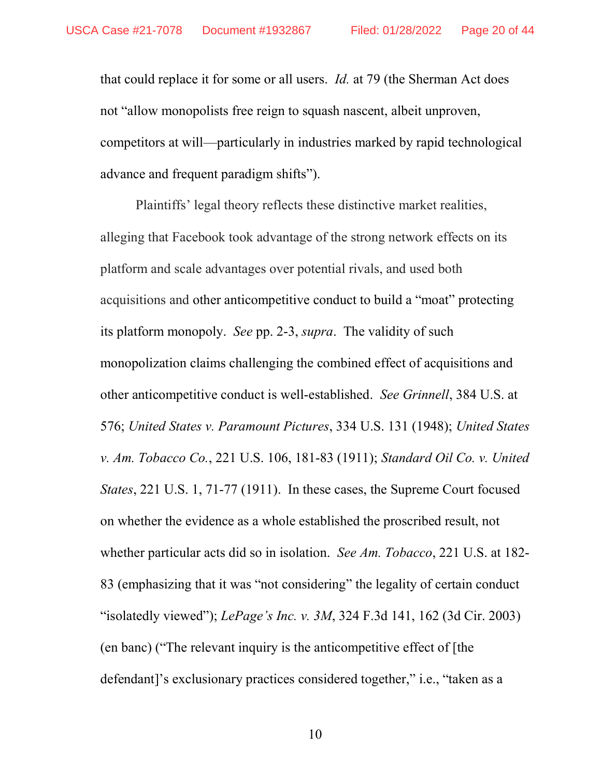that could replace it for some or all users. Id. at 79 (the Sherman Act does not "allow monopolists free reign to squash nascent, albeit unproven, competitors at will—particularly in industries marked by rapid technological advance and frequent paradigm shifts").

Plaintiffs' legal theory reflects these distinctive market realities, alleging that Facebook took advantage of the strong network effects on its platform and scale advantages over potential rivals, and used both acquisitions and other anticompetitive conduct to build a "moat" protecting its platform monopoly. See pp. 2-3, supra. The validity of such monopolization claims challenging the combined effect of acquisitions and other anticompetitive conduct is well-established. See Grinnell, 384 U.S. at 576; United States v. Paramount Pictures, 334 U.S. 131 (1948); United States v. Am. Tobacco Co., 221 U.S. 106, 181-83 (1911); Standard Oil Co. v. United States, 221 U.S. 1, 71-77 (1911). In these cases, the Supreme Court focused on whether the evidence as a whole established the proscribed result, not whether particular acts did so in isolation. See Am. Tobacco, 221 U.S. at 182-83 (emphasizing that it was "not considering" the legality of certain conduct "isolatedly viewed"); LePage's Inc. v.  $3M$ ,  $324$  F.3d 141, 162 (3d Cir. 2003) (en banc) ("The relevant inquiry is the anticompetitive effect of [the defendant]'s exclusionary practices considered together," i.e., "taken as a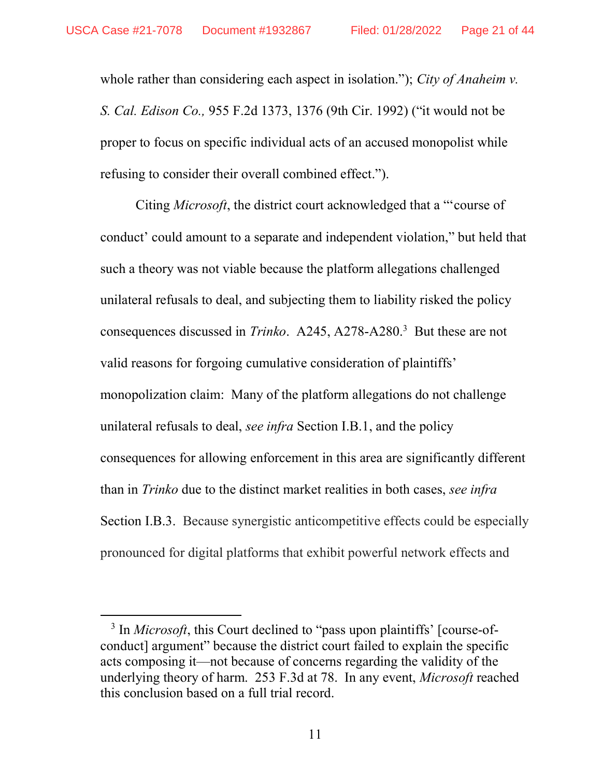-

whole rather than considering each aspect in isolation."); City of Anaheim v. S. Cal. Edison Co., 955 F.2d 1373, 1376 (9th Cir. 1992) ("it would not be proper to focus on specific individual acts of an accused monopolist while refusing to consider their overall combined effect.").

Citing Microsoft, the district court acknowledged that a "'course of conduct' could amount to a separate and independent violation," but held that such a theory was not viable because the platform allegations challenged unilateral refusals to deal, and subjecting them to liability risked the policy consequences discussed in *Trinko*. A245, A278-A280.<sup>3</sup> But these are not valid reasons for forgoing cumulative consideration of plaintiffs' monopolization claim: Many of the platform allegations do not challenge unilateral refusals to deal, *see infra* Section I.B.1, and the policy consequences for allowing enforcement in this area are significantly different than in Trinko due to the distinct market realities in both cases, see infra Section I.B.3. Because synergistic anticompetitive effects could be especially pronounced for digital platforms that exhibit powerful network effects and

<sup>&</sup>lt;sup>3</sup> In *Microsoft*, this Court declined to "pass upon plaintiffs' [course-ofconduct] argument" because the district court failed to explain the specific acts composing it—not because of concerns regarding the validity of the underlying theory of harm. 253 F.3d at 78. In any event, Microsoft reached this conclusion based on a full trial record.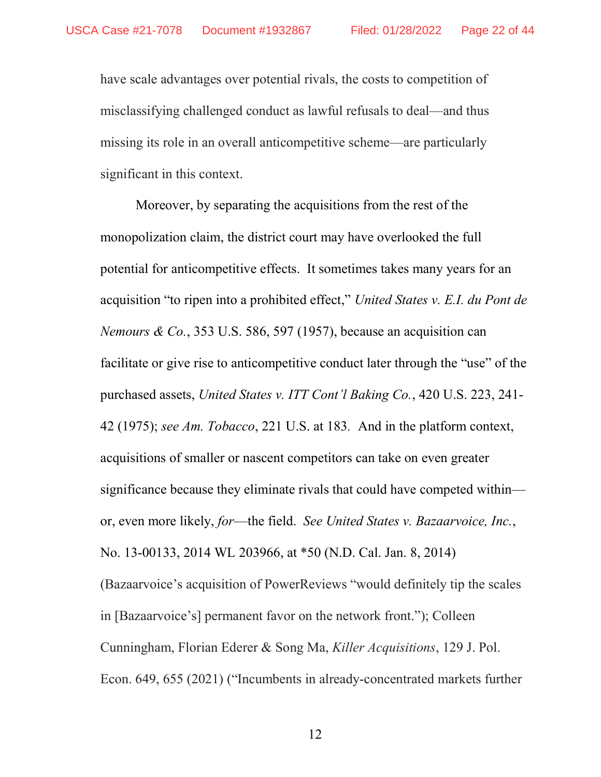have scale advantages over potential rivals, the costs to competition of misclassifying challenged conduct as lawful refusals to deal—and thus missing its role in an overall anticompetitive scheme—are particularly significant in this context.

Moreover, by separating the acquisitions from the rest of the monopolization claim, the district court may have overlooked the full potential for anticompetitive effects. It sometimes takes many years for an acquisition "to ripen into a prohibited effect," United States v. E.I. du Pont de Nemours & Co., 353 U.S. 586, 597 (1957), because an acquisition can facilitate or give rise to anticompetitive conduct later through the "use" of the purchased assets, United States v. ITT Cont'l Baking Co., 420 U.S. 223, 241- 42 (1975); see Am. Tobacco, 221 U.S. at 183. And in the platform context, acquisitions of smaller or nascent competitors can take on even greater significance because they eliminate rivals that could have competed within or, even more likely, for—the field. See United States v. Bazaarvoice, Inc., No. 13-00133, 2014 WL 203966, at \*50 (N.D. Cal. Jan. 8, 2014) (Bazaarvoice's acquisition of PowerReviews "would definitely tip the scales in [Bazaarvoice's] permanent favor on the network front."); Colleen Cunningham, Florian Ederer & Song Ma, Killer Acquisitions, 129 J. Pol. Econ. 649, 655 (2021) ("Incumbents in already-concentrated markets further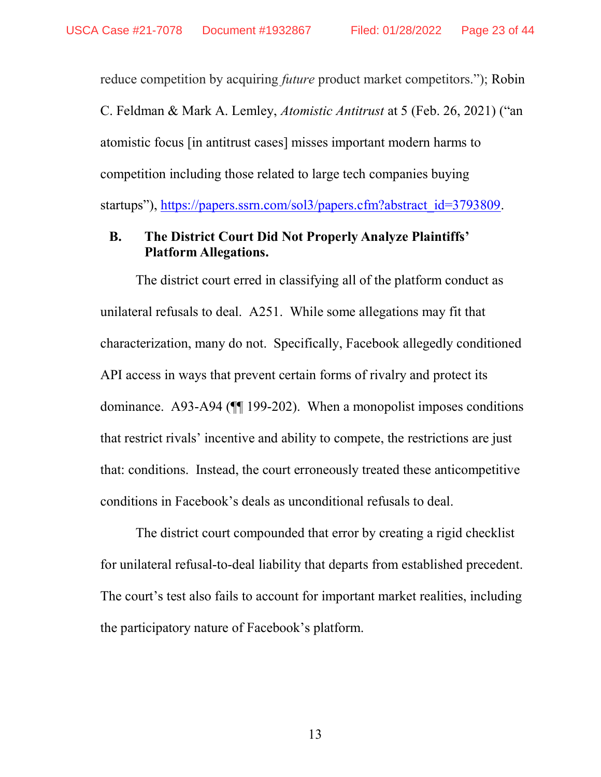reduce competition by acquiring *future* product market competitors."); Robin C. Feldman & Mark A. Lemley, Atomistic Antitrust at 5 (Feb. 26, 2021) ("an atomistic focus [in antitrust cases] misses important modern harms to competition including those related to large tech companies buying startups"), https://papers.ssrn.com/sol3/papers.cfm?abstract\_id=3793809.

### B. The District Court Did Not Properly Analyze Plaintiffs' Platform Allegations.

The district court erred in classifying all of the platform conduct as unilateral refusals to deal. A251. While some allegations may fit that characterization, many do not. Specifically, Facebook allegedly conditioned API access in ways that prevent certain forms of rivalry and protect its dominance. A93-A94 (¶¶ 199-202). When a monopolist imposes conditions that restrict rivals' incentive and ability to compete, the restrictions are just that: conditions. Instead, the court erroneously treated these anticompetitive conditions in Facebook's deals as unconditional refusals to deal.

The district court compounded that error by creating a rigid checklist for unilateral refusal-to-deal liability that departs from established precedent. The court's test also fails to account for important market realities, including the participatory nature of Facebook's platform.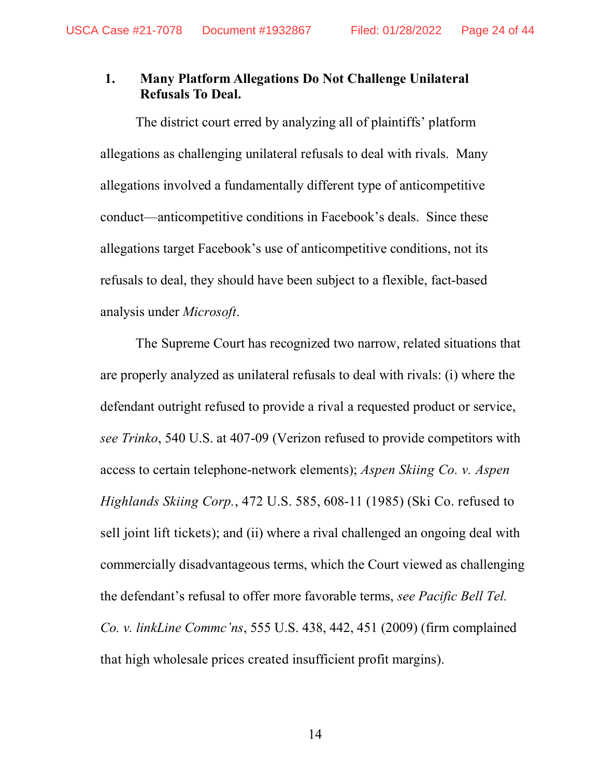# 1. Many Platform Allegations Do Not Challenge Unilateral Refusals To Deal.

The district court erred by analyzing all of plaintiffs' platform allegations as challenging unilateral refusals to deal with rivals. Many allegations involved a fundamentally different type of anticompetitive conduct—anticompetitive conditions in Facebook's deals. Since these allegations target Facebook's use of anticompetitive conditions, not its refusals to deal, they should have been subject to a flexible, fact-based analysis under Microsoft.

The Supreme Court has recognized two narrow, related situations that are properly analyzed as unilateral refusals to deal with rivals: (i) where the defendant outright refused to provide a rival a requested product or service, see Trinko, 540 U.S. at 407-09 (Verizon refused to provide competitors with access to certain telephone-network elements); Aspen Skiing Co. v. Aspen Highlands Skiing Corp., 472 U.S. 585, 608-11 (1985) (Ski Co. refused to sell joint lift tickets); and (ii) where a rival challenged an ongoing deal with commercially disadvantageous terms, which the Court viewed as challenging the defendant's refusal to offer more favorable terms, see Pacific Bell Tel. Co. v. linkLine Commc'ns, 555 U.S. 438, 442, 451 (2009) (firm complained that high wholesale prices created insufficient profit margins).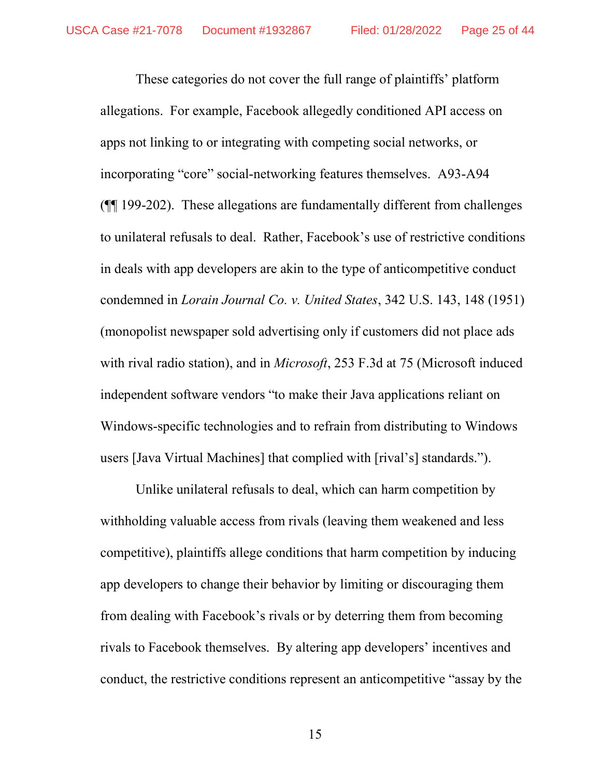These categories do not cover the full range of plaintiffs' platform allegations. For example, Facebook allegedly conditioned API access on apps not linking to or integrating with competing social networks, or incorporating "core" social-networking features themselves. A93-A94 (¶¶ 199-202). These allegations are fundamentally different from challenges to unilateral refusals to deal. Rather, Facebook's use of restrictive conditions in deals with app developers are akin to the type of anticompetitive conduct condemned in Lorain Journal Co. v. United States, 342 U.S. 143, 148 (1951) (monopolist newspaper sold advertising only if customers did not place ads with rival radio station), and in *Microsoft*, 253 F.3d at 75 (Microsoft induced independent software vendors "to make their Java applications reliant on Windows-specific technologies and to refrain from distributing to Windows users [Java Virtual Machines] that complied with [rival's] standards.").

Unlike unilateral refusals to deal, which can harm competition by withholding valuable access from rivals (leaving them weakened and less competitive), plaintiffs allege conditions that harm competition by inducing app developers to change their behavior by limiting or discouraging them from dealing with Facebook's rivals or by deterring them from becoming rivals to Facebook themselves. By altering app developers' incentives and conduct, the restrictive conditions represent an anticompetitive "assay by the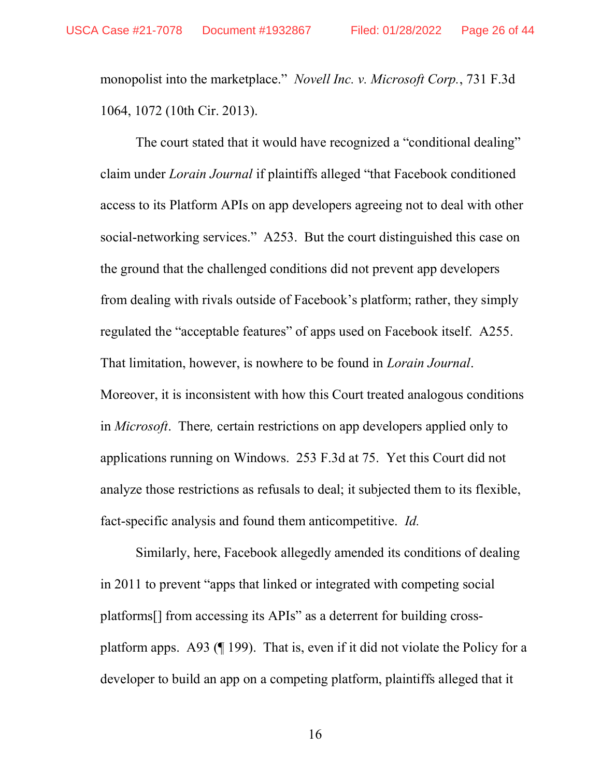monopolist into the marketplace." Novell Inc. v. Microsoft Corp., 731 F.3d 1064, 1072 (10th Cir. 2013).

The court stated that it would have recognized a "conditional dealing" claim under Lorain Journal if plaintiffs alleged "that Facebook conditioned access to its Platform APIs on app developers agreeing not to deal with other social-networking services." A253. But the court distinguished this case on the ground that the challenged conditions did not prevent app developers from dealing with rivals outside of Facebook's platform; rather, they simply regulated the "acceptable features" of apps used on Facebook itself. A255. That limitation, however, is nowhere to be found in Lorain Journal. Moreover, it is inconsistent with how this Court treated analogous conditions in Microsoft. There, certain restrictions on app developers applied only to applications running on Windows. 253 F.3d at 75. Yet this Court did not analyze those restrictions as refusals to deal; it subjected them to its flexible, fact-specific analysis and found them anticompetitive. Id.

Similarly, here, Facebook allegedly amended its conditions of dealing in 2011 to prevent "apps that linked or integrated with competing social platforms[] from accessing its APIs" as a deterrent for building crossplatform apps. A93 (¶ 199). That is, even if it did not violate the Policy for a developer to build an app on a competing platform, plaintiffs alleged that it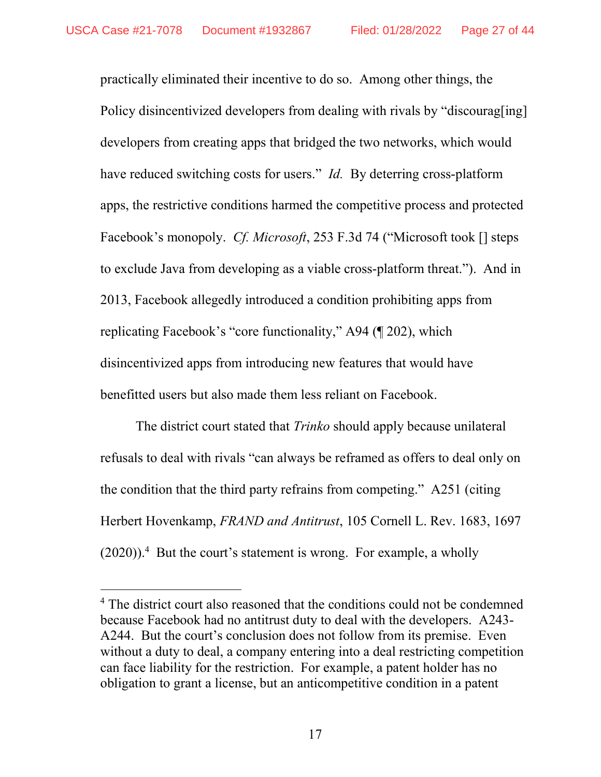practically eliminated their incentive to do so. Among other things, the Policy disincentivized developers from dealing with rivals by "discourag[ing] developers from creating apps that bridged the two networks, which would have reduced switching costs for users." *Id.* By deterring cross-platform apps, the restrictive conditions harmed the competitive process and protected Facebook's monopoly. *Cf. Microsoft*, 253 F.3d 74 ("Microsoft took [] steps to exclude Java from developing as a viable cross-platform threat."). And in 2013, Facebook allegedly introduced a condition prohibiting apps from replicating Facebook's "core functionality," A94 (¶ 202), which disincentivized apps from introducing new features that would have benefitted users but also made them less reliant on Facebook.

The district court stated that *Trinko* should apply because unilateral refusals to deal with rivals "can always be reframed as offers to deal only on the condition that the third party refrains from competing." A251 (citing Herbert Hovenkamp, FRAND and Antitrust, 105 Cornell L. Rev. 1683, 1697  $(2020)$ ).<sup>4</sup> But the court's statement is wrong. For example, a wholly

-

<sup>&</sup>lt;sup>4</sup> The district court also reasoned that the conditions could not be condemned because Facebook had no antitrust duty to deal with the developers. A243- A244. But the court's conclusion does not follow from its premise. Even without a duty to deal, a company entering into a deal restricting competition can face liability for the restriction. For example, a patent holder has no obligation to grant a license, but an anticompetitive condition in a patent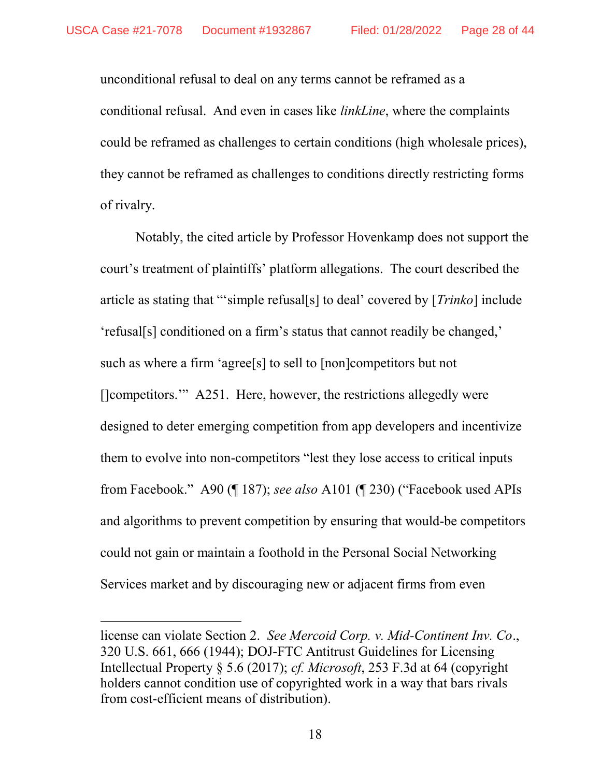unconditional refusal to deal on any terms cannot be reframed as a conditional refusal. And even in cases like linkLine, where the complaints could be reframed as challenges to certain conditions (high wholesale prices), they cannot be reframed as challenges to conditions directly restricting forms of rivalry.

Notably, the cited article by Professor Hovenkamp does not support the court's treatment of plaintiffs' platform allegations. The court described the article as stating that "'simple refusal[s] to deal' covered by [Trinko] include 'refusal[s] conditioned on a firm's status that cannot readily be changed,' such as where a firm 'agree<sup>[s]</sup> to sell to [non]competitors but not []competitors." A251. Here, however, the restrictions allegedly were designed to deter emerging competition from app developers and incentivize them to evolve into non-competitors "lest they lose access to critical inputs from Facebook." A90 (¶ 187); see also A101 (¶ 230) ("Facebook used APIs and algorithms to prevent competition by ensuring that would-be competitors could not gain or maintain a foothold in the Personal Social Networking Services market and by discouraging new or adjacent firms from even

-

license can violate Section 2. See Mercoid Corp. v. Mid-Continent Inv. Co., 320 U.S. 661, 666 (1944); DOJ-FTC Antitrust Guidelines for Licensing Intellectual Property § 5.6 (2017); cf. Microsoft, 253 F.3d at 64 (copyright holders cannot condition use of copyrighted work in a way that bars rivals from cost-efficient means of distribution).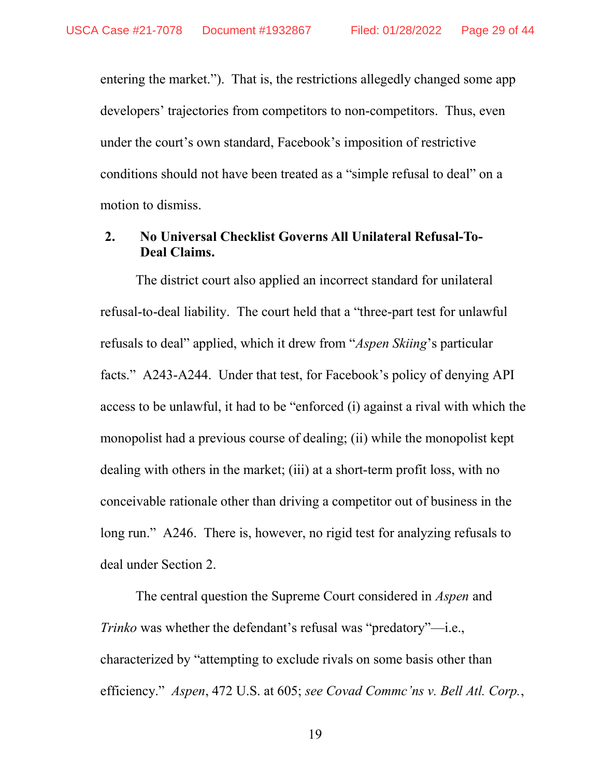entering the market."). That is, the restrictions allegedly changed some app developers' trajectories from competitors to non-competitors. Thus, even under the court's own standard, Facebook's imposition of restrictive conditions should not have been treated as a "simple refusal to deal" on a motion to dismiss.

### 2. No Universal Checklist Governs All Unilateral Refusal-To-Deal Claims.

The district court also applied an incorrect standard for unilateral refusal-to-deal liability. The court held that a "three-part test for unlawful refusals to deal" applied, which it drew from "Aspen Skiing's particular facts." A243-A244. Under that test, for Facebook's policy of denying API access to be unlawful, it had to be "enforced (i) against a rival with which the monopolist had a previous course of dealing; (ii) while the monopolist kept dealing with others in the market; (iii) at a short-term profit loss, with no conceivable rationale other than driving a competitor out of business in the long run." A246. There is, however, no rigid test for analyzing refusals to deal under Section 2.

The central question the Supreme Court considered in *Aspen* and Trinko was whether the defendant's refusal was "predatory"—i.e., characterized by "attempting to exclude rivals on some basis other than efficiency." Aspen, 472 U.S. at 605; see Covad Commc'ns v. Bell Atl. Corp.,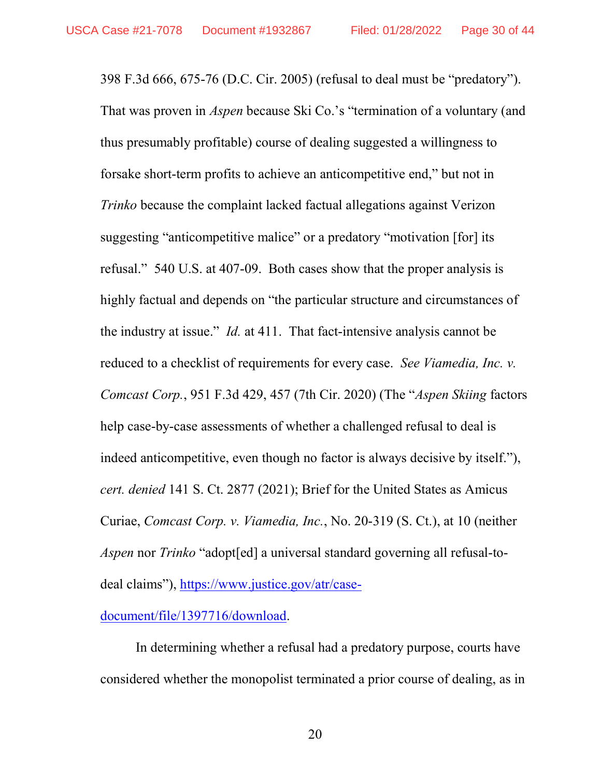398 F.3d 666, 675-76 (D.C. Cir. 2005) (refusal to deal must be "predatory"). That was proven in Aspen because Ski Co.'s "termination of a voluntary (and thus presumably profitable) course of dealing suggested a willingness to forsake short-term profits to achieve an anticompetitive end," but not in Trinko because the complaint lacked factual allegations against Verizon suggesting "anticompetitive malice" or a predatory "motivation [for] its refusal." 540 U.S. at 407-09. Both cases show that the proper analysis is highly factual and depends on "the particular structure and circumstances of the industry at issue." Id. at 411. That fact-intensive analysis cannot be reduced to a checklist of requirements for every case. See Viamedia, Inc. v. Comcast Corp., 951 F.3d 429, 457 (7th Cir. 2020) (The "Aspen Skiing factors help case-by-case assessments of whether a challenged refusal to deal is indeed anticompetitive, even though no factor is always decisive by itself."), cert. denied 141 S. Ct. 2877 (2021); Brief for the United States as Amicus Curiae, Comcast Corp. v. Viamedia, Inc., No. 20-319 (S. Ct.), at 10 (neither Aspen nor Trinko "adopt[ed] a universal standard governing all refusal-todeal claims"), https://www.justice.gov/atr/case-

### document/file/1397716/download.

In determining whether a refusal had a predatory purpose, courts have considered whether the monopolist terminated a prior course of dealing, as in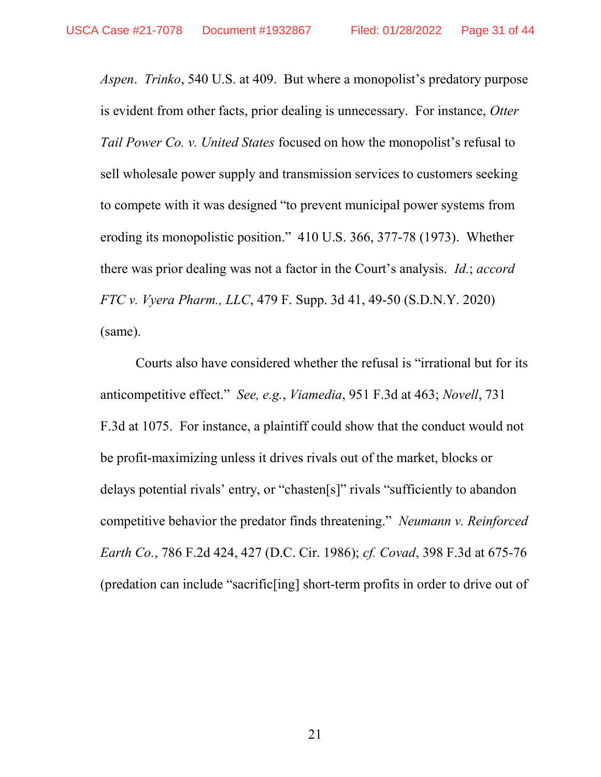Aspen. Trinko, 540 U.S. at 409. But where a monopolist's predatory purpose is evident from other facts, prior dealing is unnecessary. For instance, Otter Tail Power Co. v. United States focused on how the monopolist's refusal to sell wholesale power supply and transmission services to customers seeking to compete with it was designed "to prevent municipal power systems from eroding its monopolistic position." 410 U.S. 366, 377-78 (1973). Whether there was prior dealing was not a factor in the Court's analysis. *Id.*; *accord* FTC v. Vyera Pharm., LLC, 479 F. Supp. 3d 41, 49-50 (S.D.N.Y. 2020) (same).

Courts also have considered whether the refusal is "irrational but for its anticompetitive effect." See, e.g., Viamedia, 951 F.3d at 463; Novell, 731 F.3d at 1075. For instance, a plaintiff could show that the conduct would not be profit-maximizing unless it drives rivals out of the market, blocks or delays potential rivals' entry, or "chasten[s]" rivals "sufficiently to abandon competitive behavior the predator finds threatening." Neumann v. Reinforced Earth Co., 786 F.2d 424, 427 (D.C. Cir. 1986); cf. Covad, 398 F.3d at 675-76 (predation can include "sacrific[ing] short-term profits in order to drive out of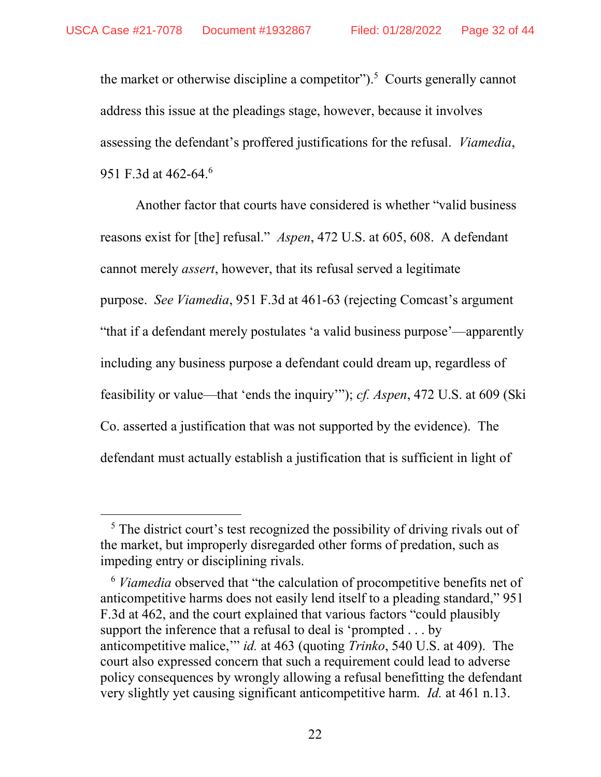the market or otherwise discipline a competitor").<sup>5</sup> Courts generally cannot address this issue at the pleadings stage, however, because it involves assessing the defendant's proffered justifications for the refusal. Viamedia, 951 F.3d at 462-64.<sup>6</sup>

Another factor that courts have considered is whether "valid business reasons exist for [the] refusal." Aspen, 472 U.S. at 605, 608. A defendant cannot merely assert, however, that its refusal served a legitimate purpose. See Viamedia, 951 F.3d at 461-63 (rejecting Comcast's argument "that if a defendant merely postulates 'a valid business purpose'—apparently including any business purpose a defendant could dream up, regardless of feasibility or value—that 'ends the inquiry'"); cf. Aspen, 472 U.S. at 609 (Ski Co. asserted a justification that was not supported by the evidence). The defendant must actually establish a justification that is sufficient in light of

-

<sup>&</sup>lt;sup>5</sup> The district court's test recognized the possibility of driving rivals out of the market, but improperly disregarded other forms of predation, such as impeding entry or disciplining rivals.

 $6$  Viamedia observed that "the calculation of procompetitive benefits net of anticompetitive harms does not easily lend itself to a pleading standard," 951 F.3d at 462, and the court explained that various factors "could plausibly support the inference that a refusal to deal is 'prompted . . . by anticompetitive malice," id. at 463 (quoting *Trinko*, 540 U.S. at 409). The court also expressed concern that such a requirement could lead to adverse policy consequences by wrongly allowing a refusal benefitting the defendant very slightly yet causing significant anticompetitive harm. Id. at 461 n.13.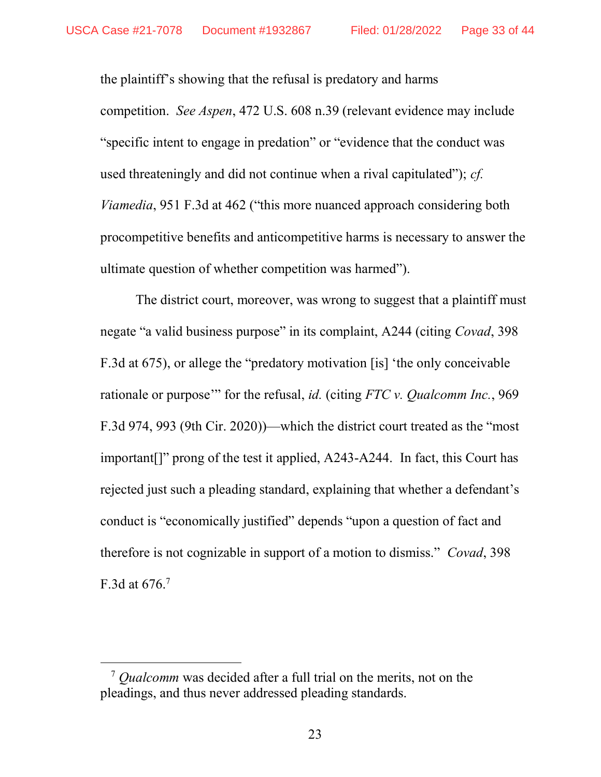the plaintiff's showing that the refusal is predatory and harms competition. See Aspen, 472 U.S. 608 n.39 (relevant evidence may include "specific intent to engage in predation" or "evidence that the conduct was used threateningly and did not continue when a rival capitulated"); cf. Viamedia, 951 F.3d at 462 ("this more nuanced approach considering both procompetitive benefits and anticompetitive harms is necessary to answer the ultimate question of whether competition was harmed").

The district court, moreover, was wrong to suggest that a plaintiff must negate "a valid business purpose" in its complaint, A244 (citing Covad, 398 F.3d at 675), or allege the "predatory motivation [is] 'the only conceivable rationale or purpose" for the refusal, *id.* (citing FTC v. Qualcomm Inc., 969 F.3d 974, 993 (9th Cir. 2020))—which the district court treated as the "most important[]" prong of the test it applied, A243-A244. In fact, this Court has rejected just such a pleading standard, explaining that whether a defendant's conduct is "economically justified" depends "upon a question of fact and therefore is not cognizable in support of a motion to dismiss." Covad, 398 F.3d at  $676$ .<sup>7</sup>

-

 $7$  Qualcomm was decided after a full trial on the merits, not on the pleadings, and thus never addressed pleading standards.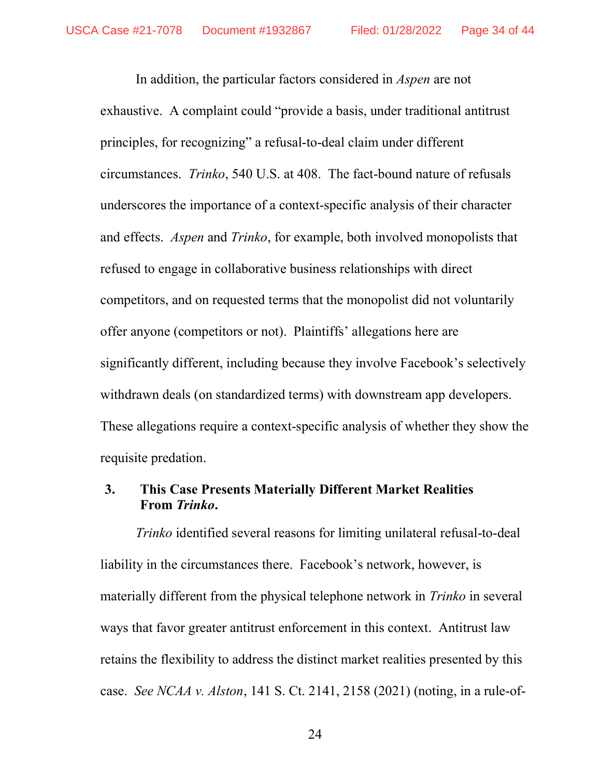In addition, the particular factors considered in Aspen are not exhaustive. A complaint could "provide a basis, under traditional antitrust principles, for recognizing" a refusal-to-deal claim under different circumstances. Trinko, 540 U.S. at 408. The fact-bound nature of refusals underscores the importance of a context-specific analysis of their character and effects. *Aspen* and *Trinko*, for example, both involved monopolists that refused to engage in collaborative business relationships with direct competitors, and on requested terms that the monopolist did not voluntarily offer anyone (competitors or not). Plaintiffs' allegations here are significantly different, including because they involve Facebook's selectively withdrawn deals (on standardized terms) with downstream app developers. These allegations require a context-specific analysis of whether they show the requisite predation.

## 3. This Case Presents Materially Different Market Realities From Trinko.

Trinko identified several reasons for limiting unilateral refusal-to-deal liability in the circumstances there. Facebook's network, however, is materially different from the physical telephone network in *Trinko* in several ways that favor greater antitrust enforcement in this context. Antitrust law retains the flexibility to address the distinct market realities presented by this case. See NCAA v. Alston, 141 S. Ct. 2141, 2158 (2021) (noting, in a rule-of-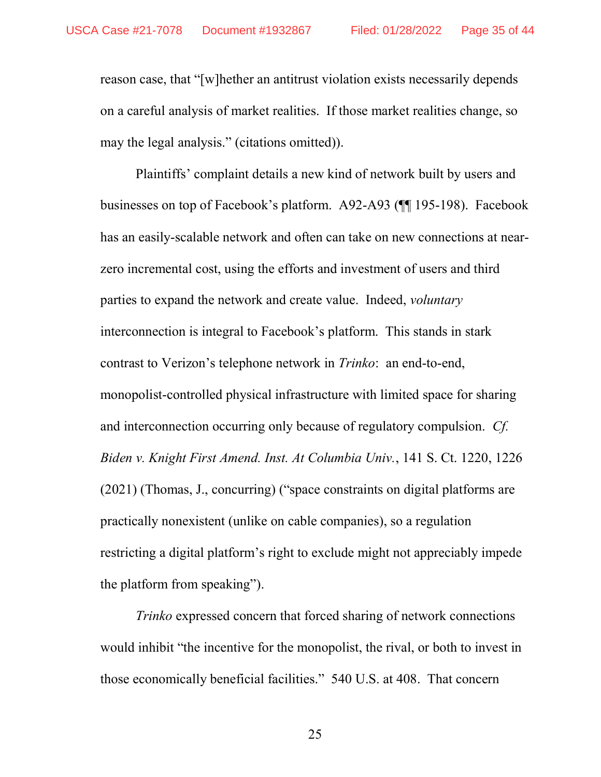reason case, that "[w]hether an antitrust violation exists necessarily depends on a careful analysis of market realities. If those market realities change, so may the legal analysis." (citations omitted)).

Plaintiffs' complaint details a new kind of network built by users and businesses on top of Facebook's platform. A92-A93 (¶¶ 195-198). Facebook has an easily-scalable network and often can take on new connections at nearzero incremental cost, using the efforts and investment of users and third parties to expand the network and create value. Indeed, voluntary interconnection is integral to Facebook's platform. This stands in stark contrast to Verizon's telephone network in Trinko: an end-to-end, monopolist-controlled physical infrastructure with limited space for sharing and interconnection occurring only because of regulatory compulsion. Cf. Biden v. Knight First Amend. Inst. At Columbia Univ., 141 S. Ct. 1220, 1226 (2021) (Thomas, J., concurring) ("space constraints on digital platforms are practically nonexistent (unlike on cable companies), so a regulation restricting a digital platform's right to exclude might not appreciably impede the platform from speaking").

Trinko expressed concern that forced sharing of network connections would inhibit "the incentive for the monopolist, the rival, or both to invest in those economically beneficial facilities." 540 U.S. at 408. That concern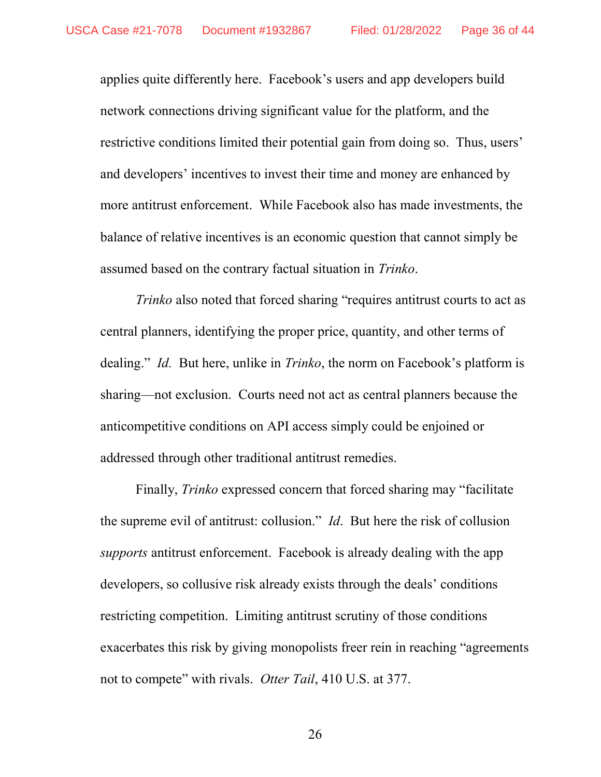applies quite differently here. Facebook's users and app developers build network connections driving significant value for the platform, and the restrictive conditions limited their potential gain from doing so. Thus, users' and developers' incentives to invest their time and money are enhanced by more antitrust enforcement. While Facebook also has made investments, the balance of relative incentives is an economic question that cannot simply be assumed based on the contrary factual situation in Trinko.

Trinko also noted that forced sharing "requires antitrust courts to act as central planners, identifying the proper price, quantity, and other terms of dealing." *Id.* But here, unlike in *Trinko*, the norm on Facebook's platform is sharing—not exclusion. Courts need not act as central planners because the anticompetitive conditions on API access simply could be enjoined or addressed through other traditional antitrust remedies.

Finally, Trinko expressed concern that forced sharing may "facilitate the supreme evil of antitrust: collusion." Id. But here the risk of collusion supports antitrust enforcement. Facebook is already dealing with the app developers, so collusive risk already exists through the deals' conditions restricting competition. Limiting antitrust scrutiny of those conditions exacerbates this risk by giving monopolists freer rein in reaching "agreements not to compete" with rivals. Otter Tail, 410 U.S. at 377.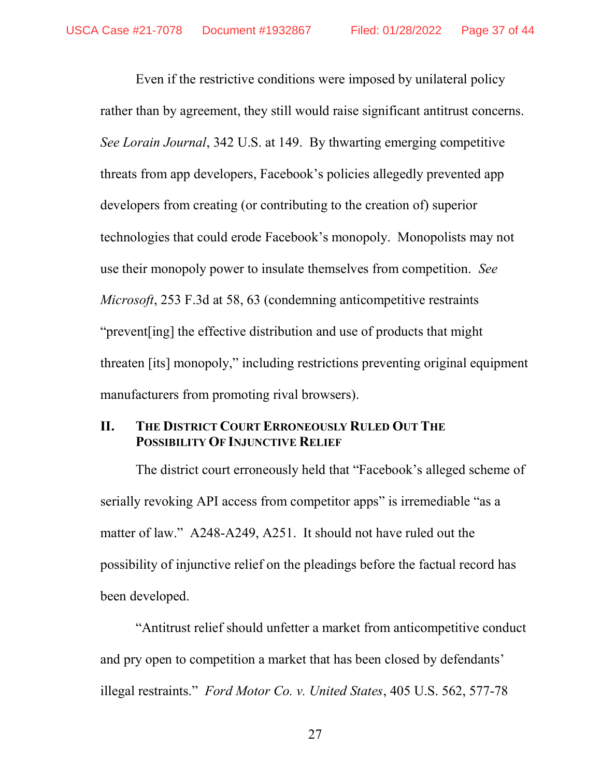Even if the restrictive conditions were imposed by unilateral policy rather than by agreement, they still would raise significant antitrust concerns. See Lorain Journal, 342 U.S. at 149. By thwarting emerging competitive threats from app developers, Facebook's policies allegedly prevented app developers from creating (or contributing to the creation of) superior technologies that could erode Facebook's monopoly. Monopolists may not use their monopoly power to insulate themselves from competition. See Microsoft, 253 F.3d at 58, 63 (condemning anticompetitive restraints "prevent[ing] the effective distribution and use of products that might threaten [its] monopoly," including restrictions preventing original equipment manufacturers from promoting rival browsers).

### II. THE DISTRICT COURT ERRONEOUSLY RULED OUT THE POSSIBILITY OF INJUNCTIVE RELIEF

The district court erroneously held that "Facebook's alleged scheme of serially revoking API access from competitor apps" is irremediable "as a matter of law." A248-A249, A251. It should not have ruled out the possibility of injunctive relief on the pleadings before the factual record has been developed.

"Antitrust relief should unfetter a market from anticompetitive conduct and pry open to competition a market that has been closed by defendants' illegal restraints." Ford Motor Co. v. United States, 405 U.S. 562, 577-78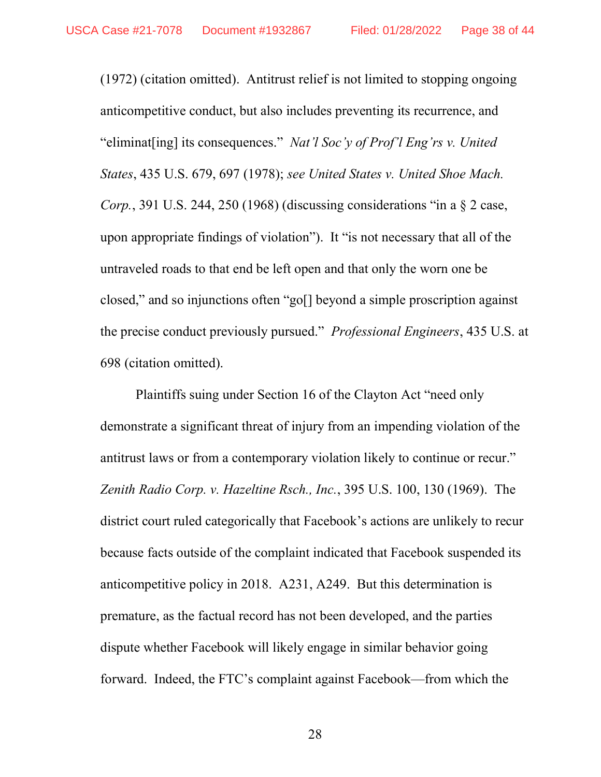(1972) (citation omitted). Antitrust relief is not limited to stopping ongoing anticompetitive conduct, but also includes preventing its recurrence, and "eliminat [ing] its consequences." Nat'l Soc'v of Prof'l Eng'rs v. United States, 435 U.S. 679, 697 (1978); see United States v. United Shoe Mach. *Corp.*, 391 U.S. 244, 250 (1968) (discussing considerations "in a  $\S$  2 case, upon appropriate findings of violation"). It "is not necessary that all of the untraveled roads to that end be left open and that only the worn one be closed," and so injunctions often "go[] beyond a simple proscription against the precise conduct previously pursued." Professional Engineers, 435 U.S. at 698 (citation omitted).

 Plaintiffs suing under Section 16 of the Clayton Act "need only demonstrate a significant threat of injury from an impending violation of the antitrust laws or from a contemporary violation likely to continue or recur." Zenith Radio Corp. v. Hazeltine Rsch., Inc., 395 U.S. 100, 130 (1969). The district court ruled categorically that Facebook's actions are unlikely to recur because facts outside of the complaint indicated that Facebook suspended its anticompetitive policy in 2018. A231, A249. But this determination is premature, as the factual record has not been developed, and the parties dispute whether Facebook will likely engage in similar behavior going forward. Indeed, the FTC's complaint against Facebook—from which the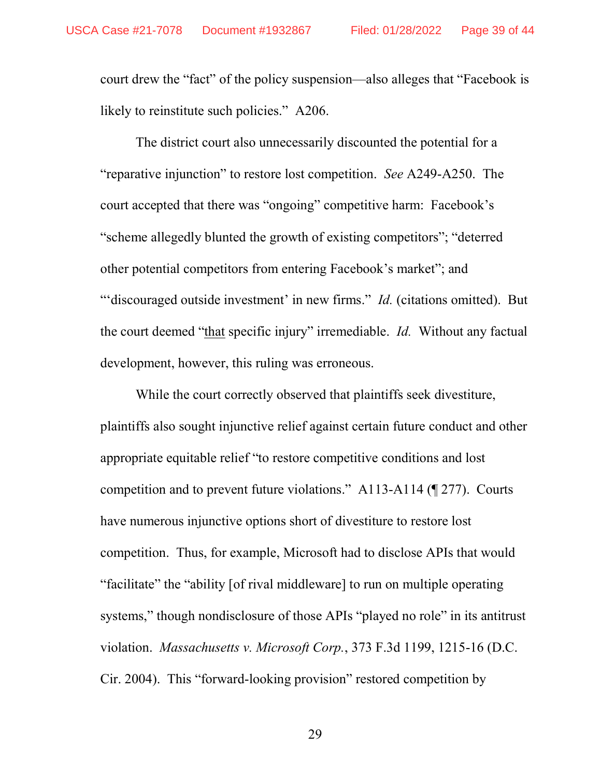court drew the "fact" of the policy suspension—also alleges that "Facebook is likely to reinstitute such policies." A206.

The district court also unnecessarily discounted the potential for a "reparative injunction" to restore lost competition. See A249-A250. The court accepted that there was "ongoing" competitive harm: Facebook's "scheme allegedly blunted the growth of existing competitors"; "deterred other potential competitors from entering Facebook's market"; and "'discouraged outside investment' in new firms." *Id.* (citations omitted). But the court deemed "that specific injury" irremediable. Id. Without any factual development, however, this ruling was erroneous.

While the court correctly observed that plaintiffs seek divestiture, plaintiffs also sought injunctive relief against certain future conduct and other appropriate equitable relief "to restore competitive conditions and lost competition and to prevent future violations." A113-A114 (¶ 277). Courts have numerous injunctive options short of divestiture to restore lost competition. Thus, for example, Microsoft had to disclose APIs that would "facilitate" the "ability [of rival middleware] to run on multiple operating systems," though nondisclosure of those APIs "played no role" in its antitrust violation. Massachusetts v. Microsoft Corp., 373 F.3d 1199, 1215-16 (D.C. Cir. 2004). This "forward-looking provision" restored competition by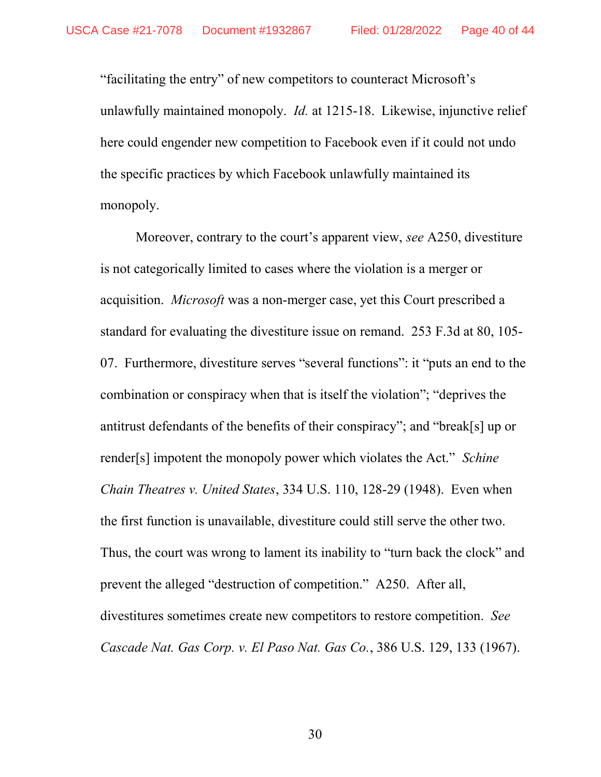"facilitating the entry" of new competitors to counteract Microsoft's unlawfully maintained monopoly. *Id.* at 1215-18. Likewise, injunctive relief here could engender new competition to Facebook even if it could not undo the specific practices by which Facebook unlawfully maintained its monopoly.

Moreover, contrary to the court's apparent view, see A250, divestiture is not categorically limited to cases where the violation is a merger or acquisition. Microsoft was a non-merger case, yet this Court prescribed a standard for evaluating the divestiture issue on remand. 253 F.3d at 80, 105- 07. Furthermore, divestiture serves "several functions": it "puts an end to the combination or conspiracy when that is itself the violation"; "deprives the antitrust defendants of the benefits of their conspiracy"; and "break[s] up or render[s] impotent the monopoly power which violates the Act." Schine Chain Theatres v. United States, 334 U.S. 110, 128-29 (1948). Even when the first function is unavailable, divestiture could still serve the other two. Thus, the court was wrong to lament its inability to "turn back the clock" and prevent the alleged "destruction of competition." A250. After all, divestitures sometimes create new competitors to restore competition. See Cascade Nat. Gas Corp. v. El Paso Nat. Gas Co., 386 U.S. 129, 133 (1967).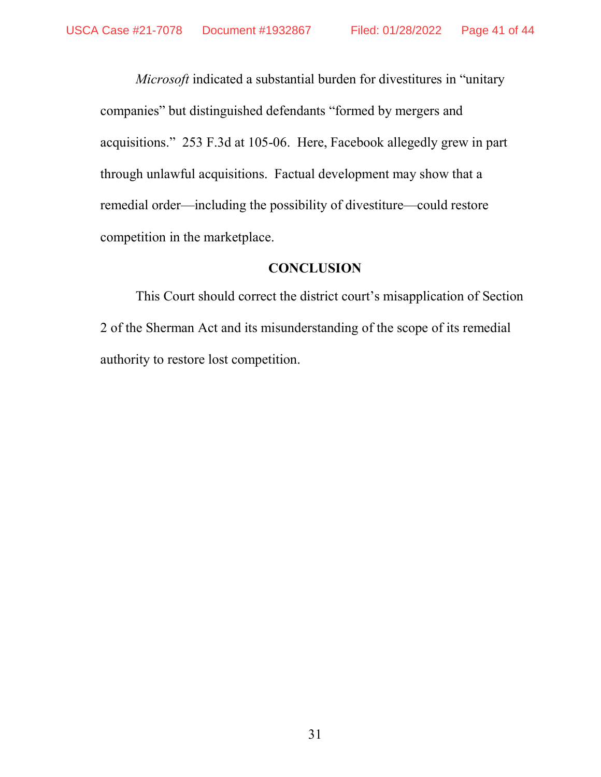Microsoft indicated a substantial burden for divestitures in "unitary companies" but distinguished defendants "formed by mergers and acquisitions." 253 F.3d at 105-06. Here, Facebook allegedly grew in part through unlawful acquisitions. Factual development may show that a remedial order—including the possibility of divestiture—could restore competition in the marketplace.

#### **CONCLUSION**

This Court should correct the district court's misapplication of Section 2 of the Sherman Act and its misunderstanding of the scope of its remedial authority to restore lost competition.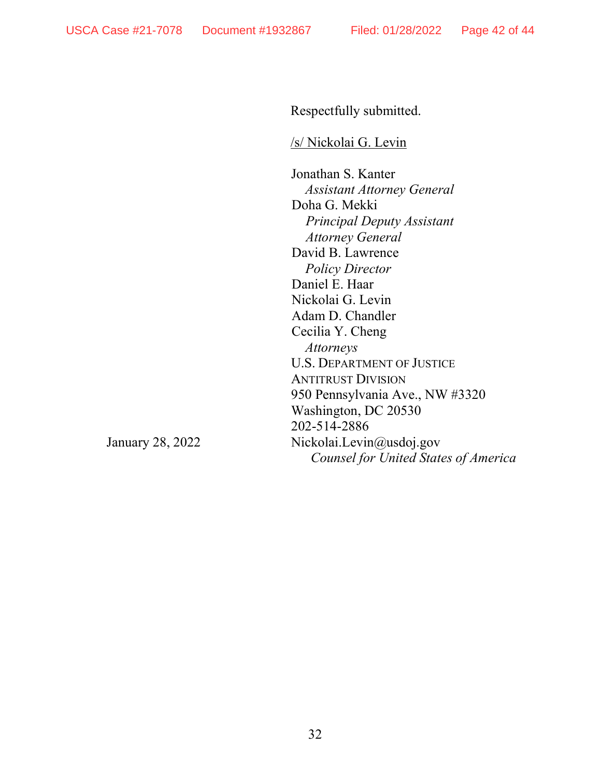Respectfully submitted.

/s/ Nickolai G. Levin

Jonathan S. Kanter Assistant Attorney General Doha G. Mekki Principal Deputy Assistant Attorney General David B. Lawrence Policy Director Daniel E. Haar Nickolai G. Levin Adam D. Chandler Cecilia Y. Cheng Attorneys U.S. DEPARTMENT OF JUSTICE ANTITRUST DIVISION 950 Pennsylvania Ave., NW #3320 Washington, DC 20530 202-514-2886 Nickolai.Levin@usdoj.gov Counsel for United States of America

January 28, 2022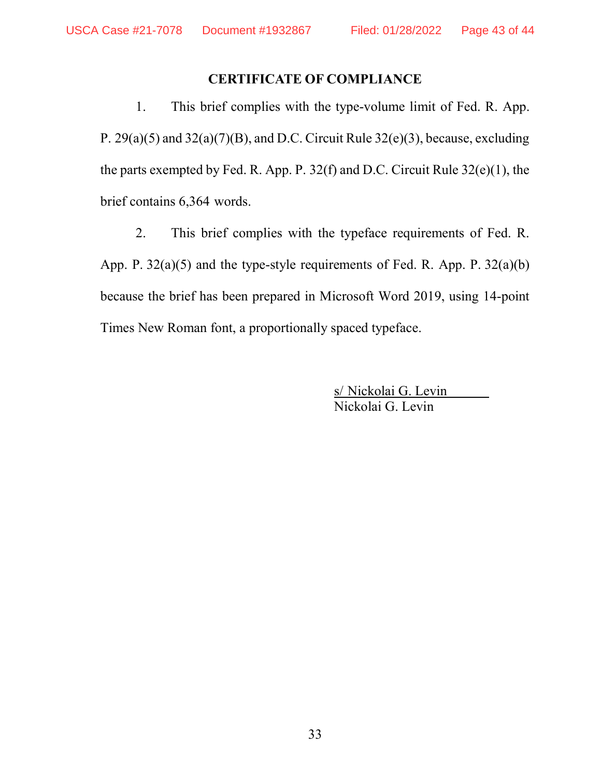# CERTIFICATE OF COMPLIANCE

1. This brief complies with the type-volume limit of Fed. R. App. P.  $29(a)(5)$  and  $32(a)(7)(B)$ , and D.C. Circuit Rule  $32(e)(3)$ , because, excluding the parts exempted by Fed. R. App. P. 32(f) and D.C. Circuit Rule 32(e)(1), the brief contains 6,364 words.

2. This brief complies with the typeface requirements of Fed. R. App. P. 32(a)(5) and the type-style requirements of Fed. R. App. P. 32(a)(b) because the brief has been prepared in Microsoft Word 2019, using 14-point Times New Roman font, a proportionally spaced typeface.

> s/ Nickolai G. Levin Nickolai G. Levin